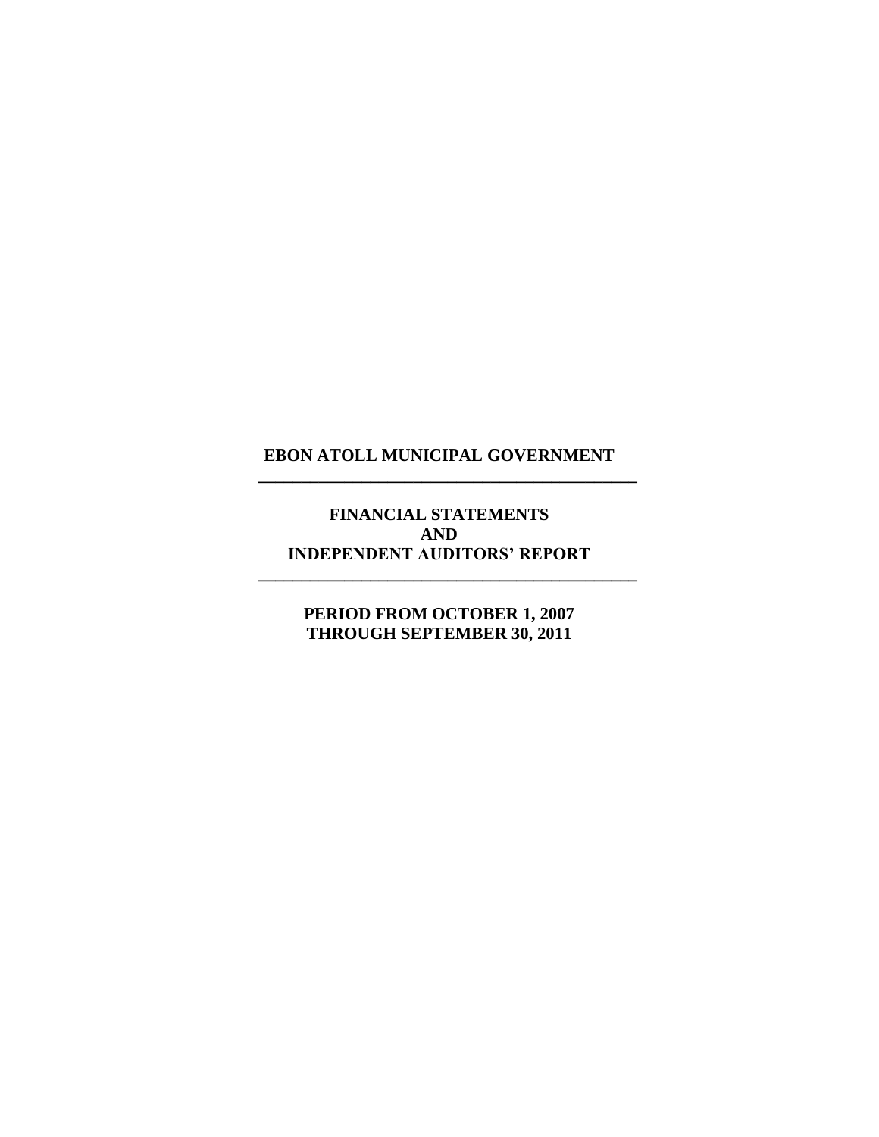**\_\_\_\_\_\_\_\_\_\_\_\_\_\_\_\_\_\_\_\_\_\_\_\_\_\_\_\_\_\_\_\_\_\_\_\_\_\_\_\_\_\_\_\_**

**FINANCIAL STATEMENTS AND INDEPENDENT AUDITORS' REPORT**

**\_\_\_\_\_\_\_\_\_\_\_\_\_\_\_\_\_\_\_\_\_\_\_\_\_\_\_\_\_\_\_\_\_\_\_\_\_\_\_\_\_\_\_\_**

**PERIOD FROM OCTOBER 1, 2007 THROUGH SEPTEMBER 30, 2011**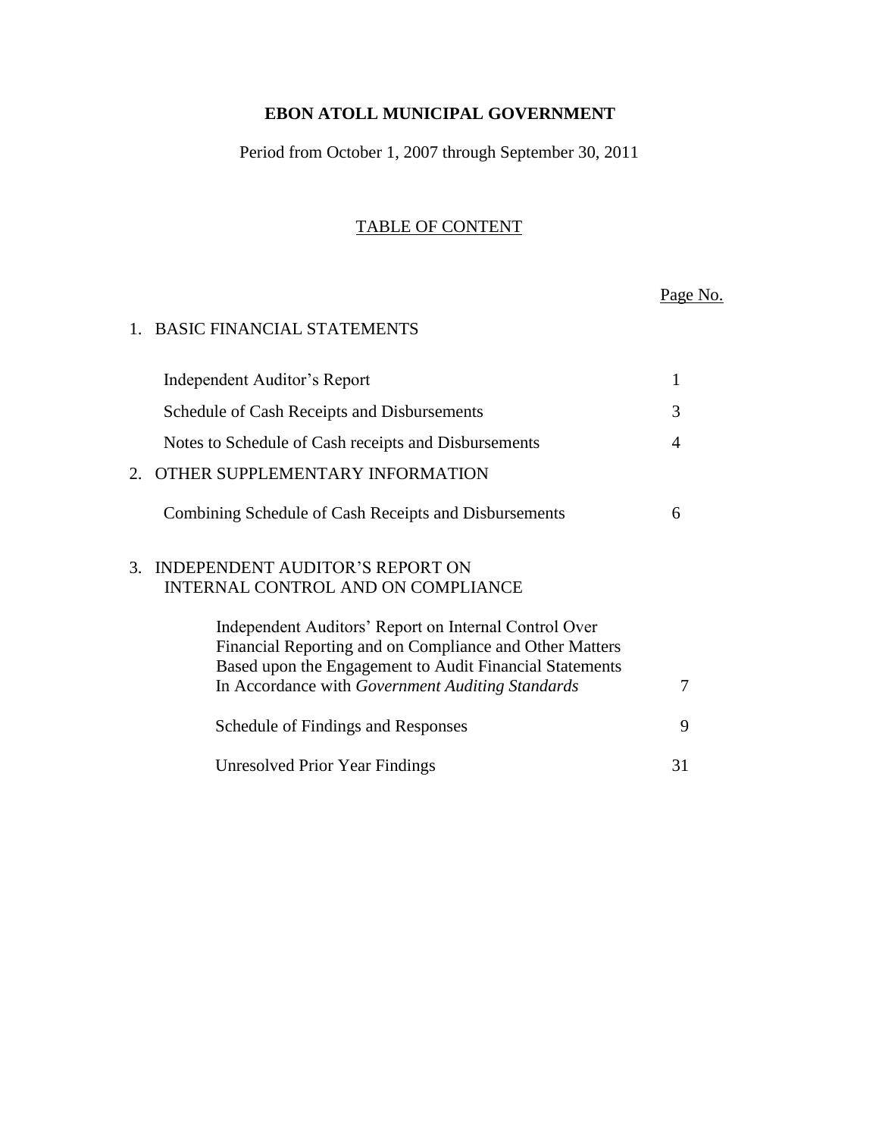Period from October 1, 2007 through September 30, 2011

# TABLE OF CONTENT

Page No.

### 1. BASIC FINANCIAL STATEMENTS

|    | Independent Auditor's Report                                                                                                                                                                                                    |    |
|----|---------------------------------------------------------------------------------------------------------------------------------------------------------------------------------------------------------------------------------|----|
|    | Schedule of Cash Receipts and Disbursements                                                                                                                                                                                     | 3  |
|    | Notes to Schedule of Cash receipts and Disbursements                                                                                                                                                                            | 4  |
| 2. | OTHER SUPPLEMENTARY INFORMATION                                                                                                                                                                                                 |    |
|    | Combining Schedule of Cash Receipts and Disbursements                                                                                                                                                                           | 6  |
| 3. | INDEPENDENT AUDITOR'S REPORT ON<br><b>INTERNAL CONTROL AND ON COMPLIANCE</b>                                                                                                                                                    |    |
|    | Independent Auditors' Report on Internal Control Over<br>Financial Reporting and on Compliance and Other Matters<br>Based upon the Engagement to Audit Financial Statements<br>In Accordance with Government Auditing Standards | 7  |
|    | Schedule of Findings and Responses                                                                                                                                                                                              | 9  |
|    | <b>Unresolved Prior Year Findings</b>                                                                                                                                                                                           | 31 |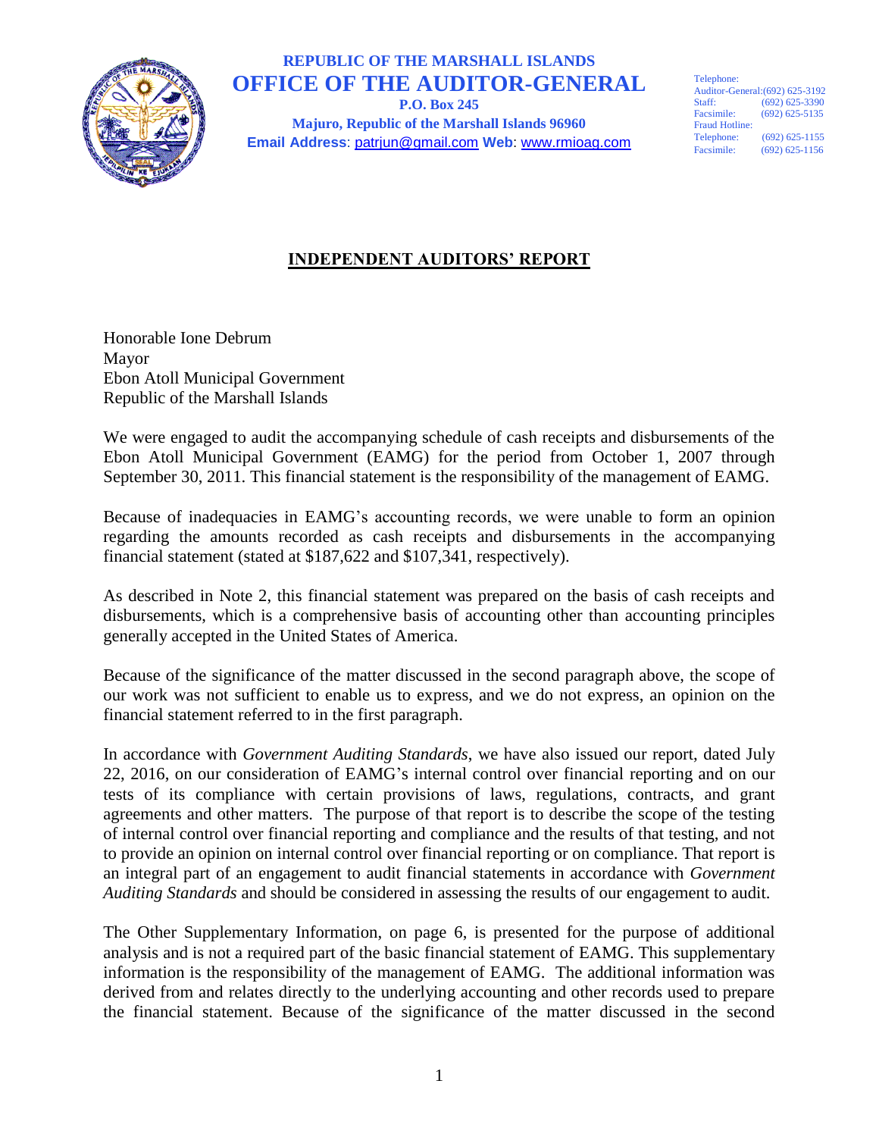

# **REPUBLIC OF THE MARSHALL ISLANDS OFFICE OF THE AUDITOR-GENERAL**

**P.O. Box 245 Majuro, Republic of the Marshall Islands 96960 Email Address**: patrjun@gmail.com **Web**: www.rmioag.com Telephone: Auditor-General:(692) 625-3192<br>Staff: (692) 625-3390  $(692)$  625-3390 Facsimile: (692) 625-5135 Fraud Hotline:<br>Telephone:  $(692)$  625-1155 Facsimile: (692) 625-1156

## **INDEPENDENT AUDITORS' REPORT**

Honorable Ione Debrum Mayor Ebon Atoll Municipal Government Republic of the Marshall Islands

We were engaged to audit the accompanying schedule of cash receipts and disbursements of the Ebon Atoll Municipal Government (EAMG) for the period from October 1, 2007 through September 30, 2011. This financial statement is the responsibility of the management of EAMG.

Because of inadequacies in EAMG's accounting records, we were unable to form an opinion regarding the amounts recorded as cash receipts and disbursements in the accompanying financial statement (stated at \$187,622 and \$107,341, respectively).

As described in Note 2, this financial statement was prepared on the basis of cash receipts and disbursements, which is a comprehensive basis of accounting other than accounting principles generally accepted in the United States of America.

Because of the significance of the matter discussed in the second paragraph above, the scope of our work was not sufficient to enable us to express, and we do not express, an opinion on the financial statement referred to in the first paragraph.

In accordance with *Government Auditing Standards*, we have also issued our report, dated July 22, 2016, on our consideration of EAMG's internal control over financial reporting and on our tests of its compliance with certain provisions of laws, regulations, contracts, and grant agreements and other matters. The purpose of that report is to describe the scope of the testing of internal control over financial reporting and compliance and the results of that testing, and not to provide an opinion on internal control over financial reporting or on compliance. That report is an integral part of an engagement to audit financial statements in accordance with *Government Auditing Standards* and should be considered in assessing the results of our engagement to audit.

The Other Supplementary Information, on page 6, is presented for the purpose of additional analysis and is not a required part of the basic financial statement of EAMG. This supplementary information is the responsibility of the management of EAMG. The additional information was derived from and relates directly to the underlying accounting and other records used to prepare the financial statement. Because of the significance of the matter discussed in the second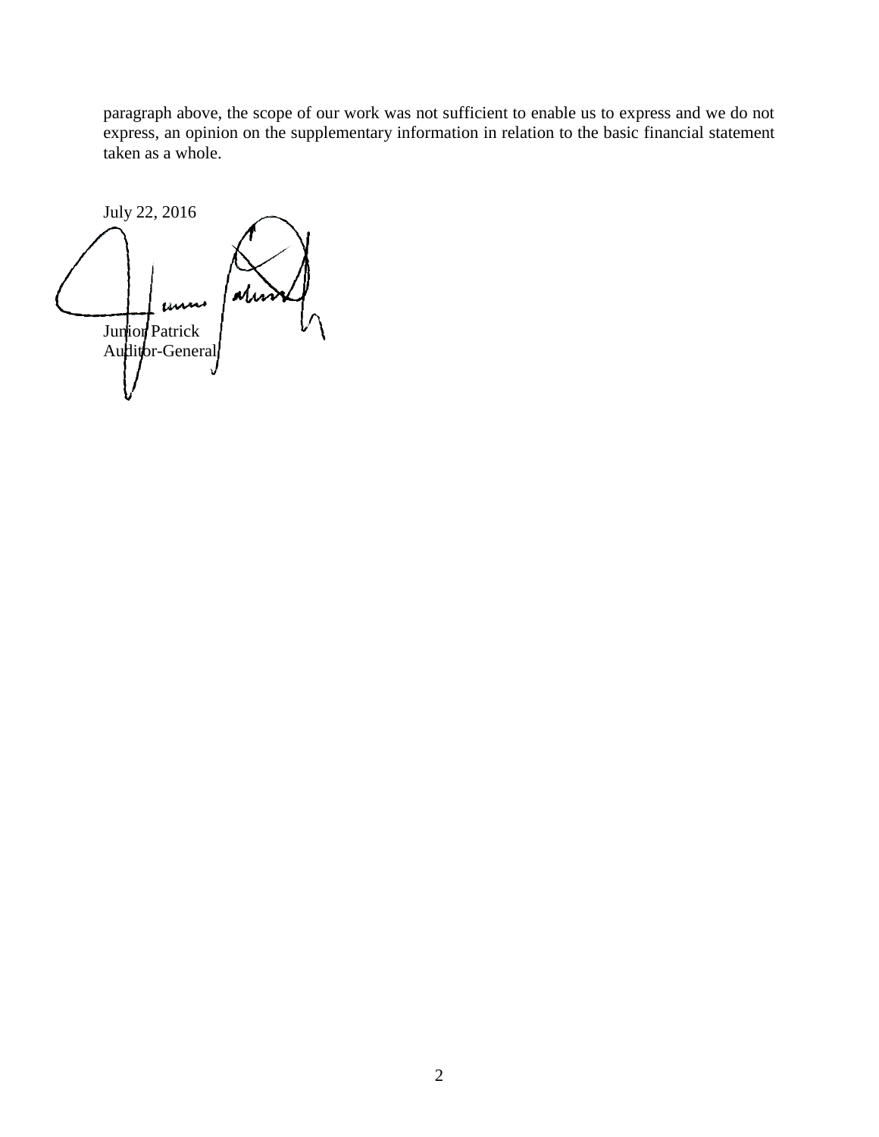paragraph above, the scope of our work was not sufficient to enable us to express and we do not express, an opinion on the supplementary information in relation to the basic financial statement taken as a whole.

July 22, 2016  $\mu$ Junior Patrick Auditor-General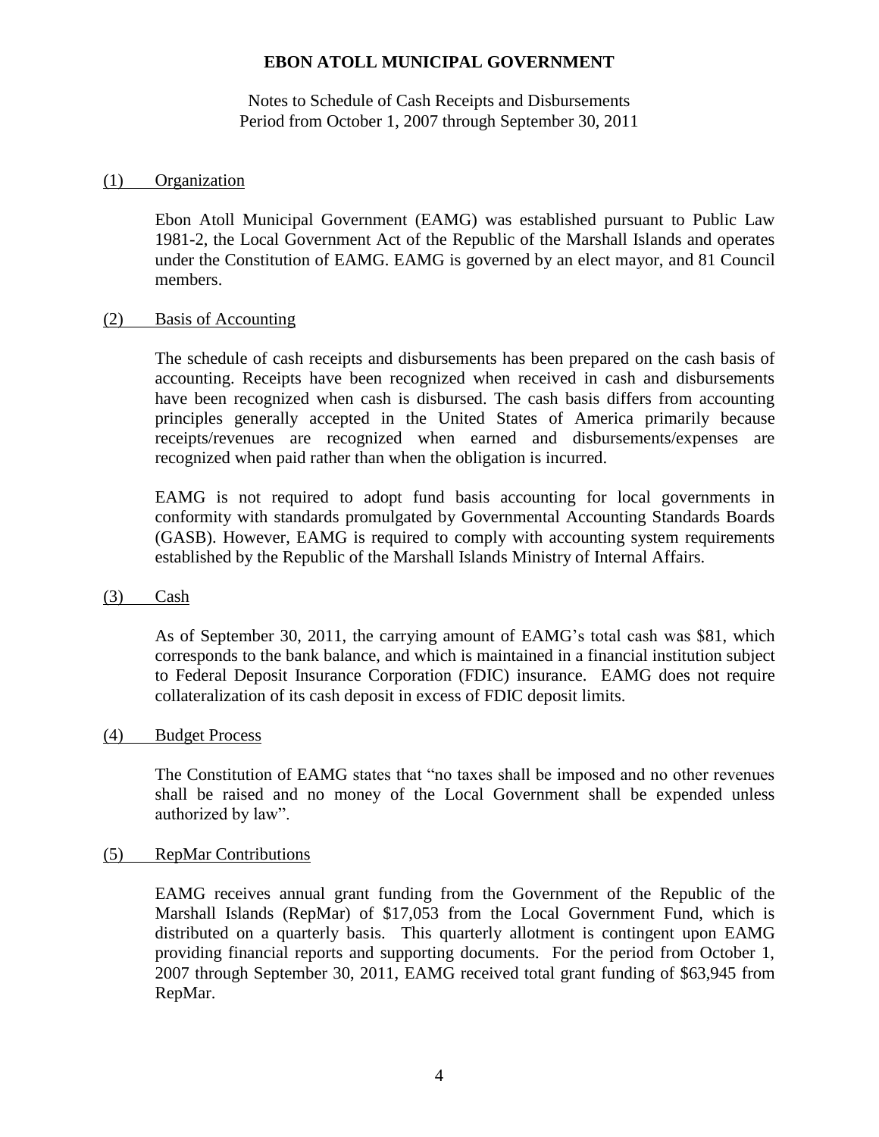Notes to Schedule of Cash Receipts and Disbursements Period from October 1, 2007 through September 30, 2011

#### (1) Organization

Ebon Atoll Municipal Government (EAMG) was established pursuant to Public Law 1981-2, the Local Government Act of the Republic of the Marshall Islands and operates under the Constitution of EAMG. EAMG is governed by an elect mayor, and 81 Council members.

#### (2) Basis of Accounting

The schedule of cash receipts and disbursements has been prepared on the cash basis of accounting. Receipts have been recognized when received in cash and disbursements have been recognized when cash is disbursed. The cash basis differs from accounting principles generally accepted in the United States of America primarily because receipts/revenues are recognized when earned and disbursements/expenses are recognized when paid rather than when the obligation is incurred.

EAMG is not required to adopt fund basis accounting for local governments in conformity with standards promulgated by Governmental Accounting Standards Boards (GASB). However, EAMG is required to comply with accounting system requirements established by the Republic of the Marshall Islands Ministry of Internal Affairs.

#### (3) Cash

As of September 30, 2011, the carrying amount of EAMG's total cash was \$81, which corresponds to the bank balance, and which is maintained in a financial institution subject to Federal Deposit Insurance Corporation (FDIC) insurance. EAMG does not require collateralization of its cash deposit in excess of FDIC deposit limits.

#### (4) Budget Process

The Constitution of EAMG states that "no taxes shall be imposed and no other revenues shall be raised and no money of the Local Government shall be expended unless authorized by law".

#### (5) RepMar Contributions

EAMG receives annual grant funding from the Government of the Republic of the Marshall Islands (RepMar) of \$17,053 from the Local Government Fund, which is distributed on a quarterly basis. This quarterly allotment is contingent upon EAMG providing financial reports and supporting documents. For the period from October 1, 2007 through September 30, 2011, EAMG received total grant funding of \$63,945 from RepMar.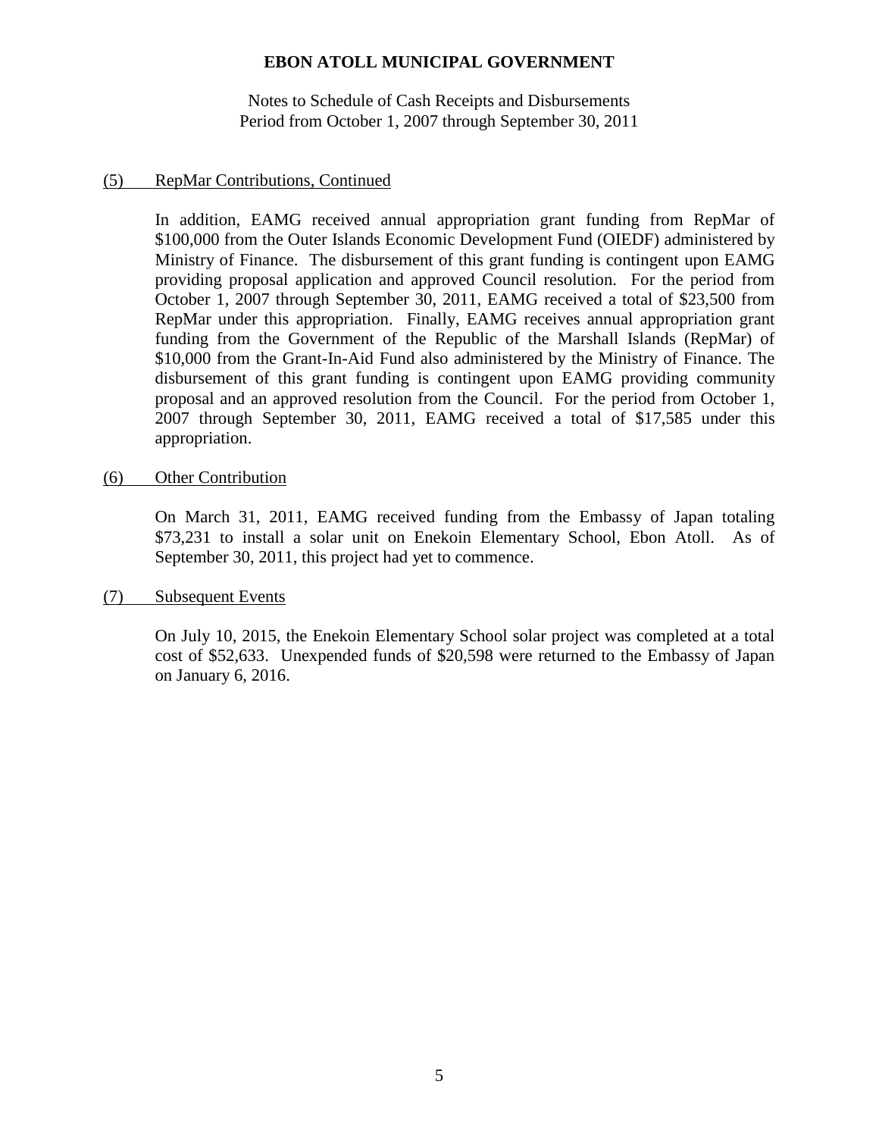Notes to Schedule of Cash Receipts and Disbursements Period from October 1, 2007 through September 30, 2011

### (5) RepMar Contributions, Continued

In addition, EAMG received annual appropriation grant funding from RepMar of \$100,000 from the Outer Islands Economic Development Fund (OIEDF) administered by Ministry of Finance. The disbursement of this grant funding is contingent upon EAMG providing proposal application and approved Council resolution. For the period from October 1, 2007 through September 30, 2011, EAMG received a total of \$23,500 from RepMar under this appropriation. Finally, EAMG receives annual appropriation grant funding from the Government of the Republic of the Marshall Islands (RepMar) of \$10,000 from the Grant-In-Aid Fund also administered by the Ministry of Finance. The disbursement of this grant funding is contingent upon EAMG providing community proposal and an approved resolution from the Council. For the period from October 1, 2007 through September 30, 2011, EAMG received a total of \$17,585 under this appropriation.

### (6) Other Contribution

On March 31, 2011, EAMG received funding from the Embassy of Japan totaling \$73,231 to install a solar unit on Enekoin Elementary School, Ebon Atoll. As of September 30, 2011, this project had yet to commence.

(7) Subsequent Events

On July 10, 2015, the Enekoin Elementary School solar project was completed at a total cost of \$52,633. Unexpended funds of \$20,598 were returned to the Embassy of Japan on January 6, 2016.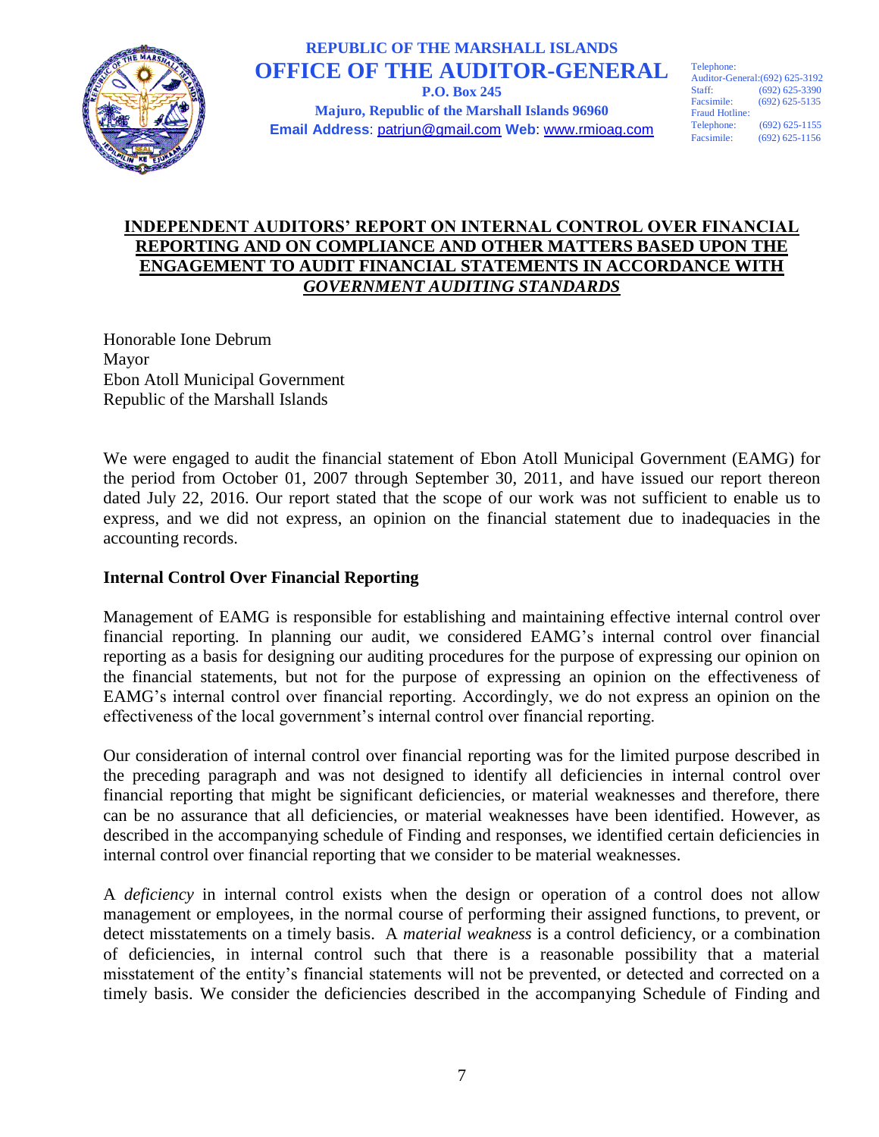

### **REPUBLIC OF THE MARSHALL ISLANDS OFFICE OF THE AUDITOR-GENERAL P.O. Box 245**

**Majuro, Republic of the Marshall Islands 96960 Email Address**: patrjun@gmail.com **Web**: www.rmioag.com Telephone: Auditor-General:(692) 625-3192 Staff: (692) 625-3390<br>Facsimile: (692) 625-5135  $(692)$  625-5135 Fraud Hotline:<br>Telephone: (692) 625-1155 Facsimile: (692) 625-1156

## **INDEPENDENT AUDITORS' REPORT ON INTERNAL CONTROL OVER FINANCIAL REPORTING AND ON COMPLIANCE AND OTHER MATTERS BASED UPON THE ENGAGEMENT TO AUDIT FINANCIAL STATEMENTS IN ACCORDANCE WITH**  *GOVERNMENT AUDITING STANDARDS*

Honorable Ione Debrum Mayor Ebon Atoll Municipal Government Republic of the Marshall Islands

We were engaged to audit the financial statement of Ebon Atoll Municipal Government (EAMG) for the period from October 01, 2007 through September 30, 2011, and have issued our report thereon dated July 22, 2016. Our report stated that the scope of our work was not sufficient to enable us to express, and we did not express, an opinion on the financial statement due to inadequacies in the accounting records.

## **Internal Control Over Financial Reporting**

Management of EAMG is responsible for establishing and maintaining effective internal control over financial reporting. In planning our audit, we considered EAMG's internal control over financial reporting as a basis for designing our auditing procedures for the purpose of expressing our opinion on the financial statements, but not for the purpose of expressing an opinion on the effectiveness of EAMG's internal control over financial reporting. Accordingly, we do not express an opinion on the effectiveness of the local government's internal control over financial reporting.

Our consideration of internal control over financial reporting was for the limited purpose described in the preceding paragraph and was not designed to identify all deficiencies in internal control over financial reporting that might be significant deficiencies, or material weaknesses and therefore, there can be no assurance that all deficiencies, or material weaknesses have been identified. However, as described in the accompanying schedule of Finding and responses, we identified certain deficiencies in internal control over financial reporting that we consider to be material weaknesses.

A *deficiency* in internal control exists when the design or operation of a control does not allow management or employees, in the normal course of performing their assigned functions, to prevent, or detect misstatements on a timely basis. A *material weakness* is a control deficiency, or a combination of deficiencies, in internal control such that there is a reasonable possibility that a material misstatement of the entity's financial statements will not be prevented, or detected and corrected on a timely basis. We consider the deficiencies described in the accompanying Schedule of Finding and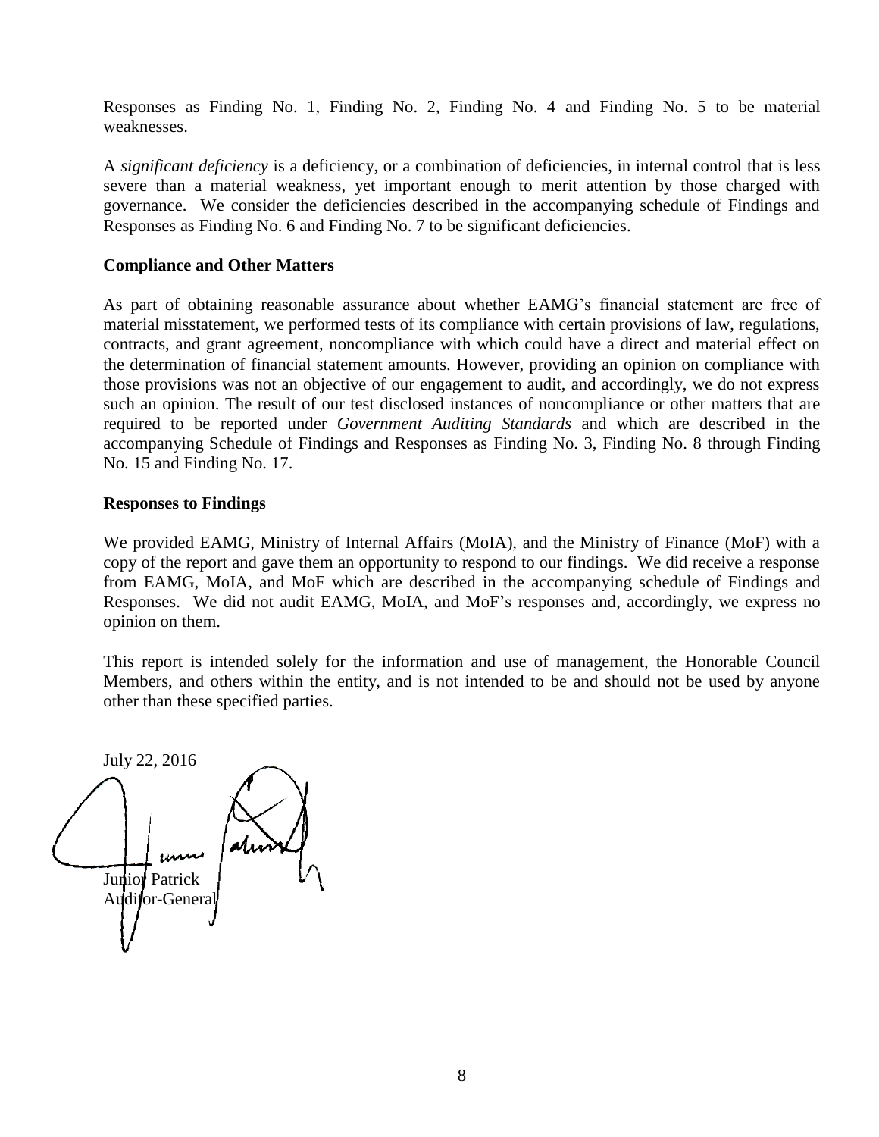Responses as Finding No. 1, Finding No. 2, Finding No. 4 and Finding No. 5 to be material weaknesses.

A *significant deficiency* is a deficiency, or a combination of deficiencies, in internal control that is less severe than a material weakness, yet important enough to merit attention by those charged with governance. We consider the deficiencies described in the accompanying schedule of Findings and Responses as Finding No. 6 and Finding No. 7 to be significant deficiencies.

### **Compliance and Other Matters**

As part of obtaining reasonable assurance about whether EAMG's financial statement are free of material misstatement, we performed tests of its compliance with certain provisions of law, regulations, contracts, and grant agreement, noncompliance with which could have a direct and material effect on the determination of financial statement amounts. However, providing an opinion on compliance with those provisions was not an objective of our engagement to audit, and accordingly, we do not express such an opinion. The result of our test disclosed instances of noncompliance or other matters that are required to be reported under *Government Auditing Standards* and which are described in the accompanying Schedule of Findings and Responses as Finding No. 3, Finding No. 8 through Finding No. 15 and Finding No. 17.

#### **Responses to Findings**

We provided EAMG, Ministry of Internal Affairs (MoIA), and the Ministry of Finance (MoF) with a copy of the report and gave them an opportunity to respond to our findings. We did receive a response from EAMG, MoIA, and MoF which are described in the accompanying schedule of Findings and Responses. We did not audit EAMG, MoIA, and MoF's responses and, accordingly, we express no opinion on them.

This report is intended solely for the information and use of management, the Honorable Council Members, and others within the entity, and is not intended to be and should not be used by anyone other than these specified parties.

July 22, 2016 Junior Patrick Auditor-Genera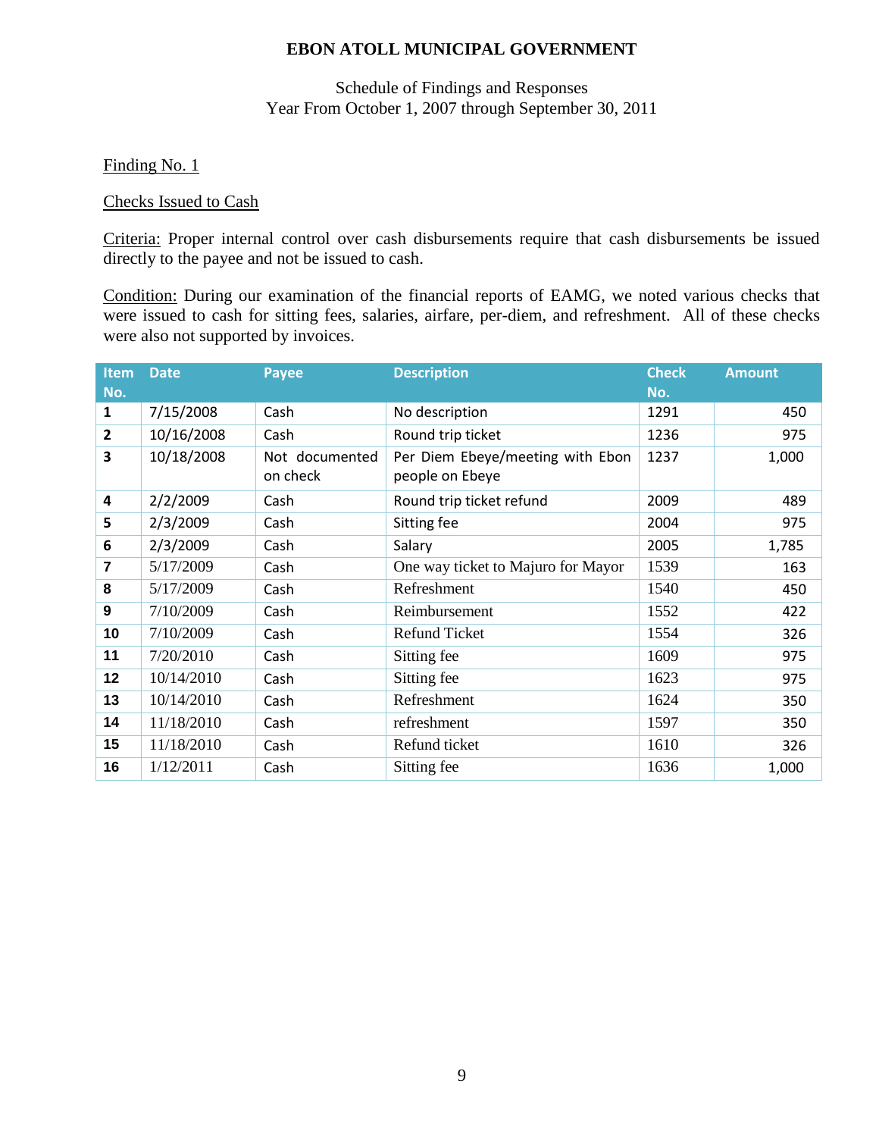## Schedule of Findings and Responses Year From October 1, 2007 through September 30, 2011

### Finding No. 1

#### Checks Issued to Cash

Criteria: Proper internal control over cash disbursements require that cash disbursements be issued directly to the payee and not be issued to cash.

Condition: During our examination of the financial reports of EAMG, we noted various checks that were issued to cash for sitting fees, salaries, airfare, per-diem, and refreshment. All of these checks were also not supported by invoices.

| <b>Item</b><br>No. | <b>Date</b> | <b>Payee</b>               | <b>Description</b>                                  | <b>Check</b><br>No. | <b>Amount</b> |
|--------------------|-------------|----------------------------|-----------------------------------------------------|---------------------|---------------|
| 1                  | 7/15/2008   | Cash                       | No description                                      | 1291                | 450           |
| $\mathbf{2}$       | 10/16/2008  | Cash                       | Round trip ticket                                   | 1236                | 975           |
| 3                  | 10/18/2008  | Not documented<br>on check | Per Diem Ebeye/meeting with Ebon<br>people on Ebeye | 1237                | 1,000         |
| 4                  | 2/2/2009    | Cash                       | Round trip ticket refund                            | 2009                | 489           |
| 5                  | 2/3/2009    | Cash                       | Sitting fee                                         | 2004                | 975           |
| 6                  | 2/3/2009    | Cash                       | Salary                                              | 2005                | 1,785         |
| 7                  | 5/17/2009   | Cash                       | One way ticket to Majuro for Mayor                  | 1539                | 163           |
| 8                  | 5/17/2009   | Cash                       | Refreshment                                         | 1540                | 450           |
| 9                  | 7/10/2009   | Cash                       | Reimbursement                                       | 1552                | 422           |
| 10                 | 7/10/2009   | Cash                       | <b>Refund Ticket</b>                                | 1554                | 326           |
| 11                 | 7/20/2010   | Cash                       | Sitting fee                                         | 1609                | 975           |
| 12                 | 10/14/2010  | Cash                       | Sitting fee                                         | 1623                | 975           |
| 13                 | 10/14/2010  | Cash                       | Refreshment                                         | 1624                | 350           |
| 14                 | 11/18/2010  | Cash                       | refreshment                                         | 1597                | 350           |
| 15                 | 11/18/2010  | Cash                       | Refund ticket                                       | 1610                | 326           |
| 16                 | 1/12/2011   | Cash                       | Sitting fee                                         | 1636                | 1,000         |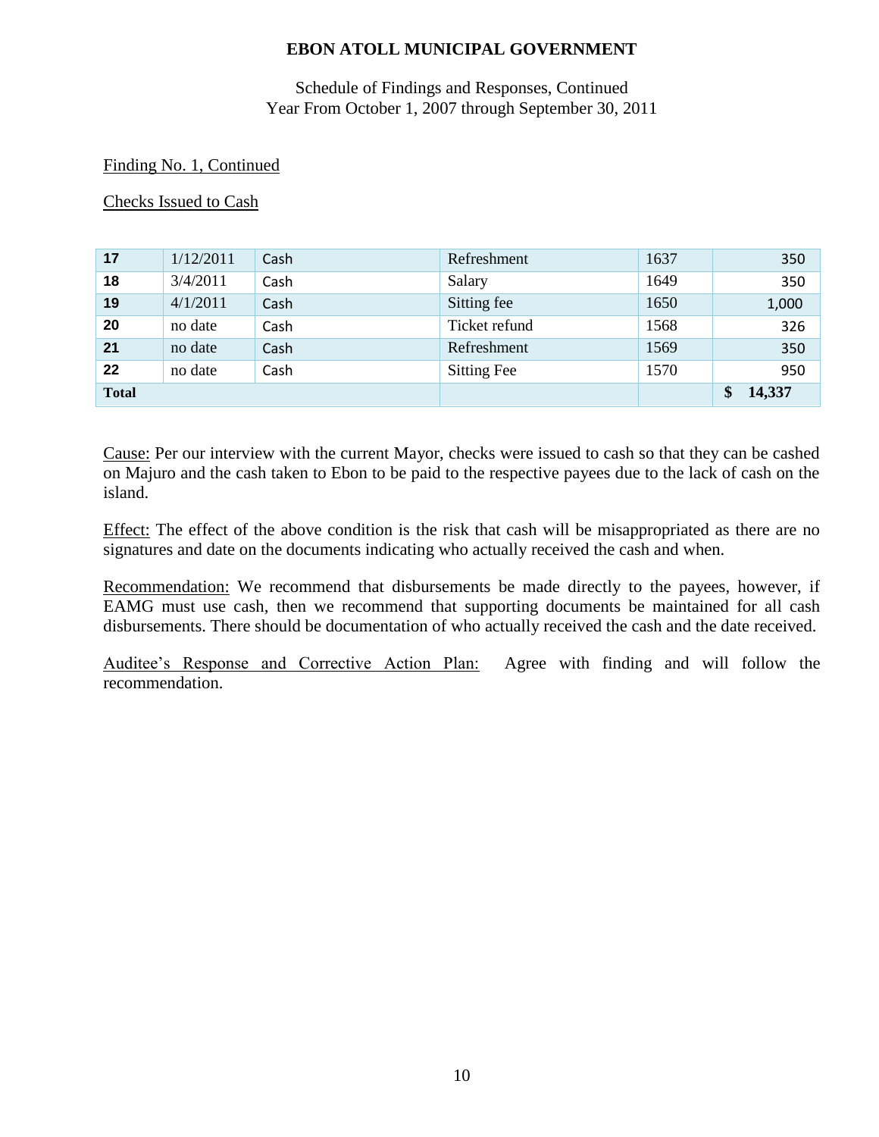## Schedule of Findings and Responses, Continued Year From October 1, 2007 through September 30, 2011

### Finding No. 1, Continued

Checks Issued to Cash

| 17           | 1/12/2011 | Cash | Refreshment        | 1637 | 350    |
|--------------|-----------|------|--------------------|------|--------|
| 18           | 3/4/2011  | Cash | Salary             | 1649 | 350    |
| 19           | 4/1/2011  | Cash | Sitting fee        | 1650 | 1,000  |
| 20           | no date   | Cash | Ticket refund      | 1568 | 326    |
| 21           | no date   | Cash | Refreshment        | 1569 | 350    |
| 22           | no date   | Cash | <b>Sitting Fee</b> | 1570 | 950    |
| <b>Total</b> |           |      |                    |      | 14,337 |

Cause: Per our interview with the current Mayor, checks were issued to cash so that they can be cashed on Majuro and the cash taken to Ebon to be paid to the respective payees due to the lack of cash on the island.

Effect: The effect of the above condition is the risk that cash will be misappropriated as there are no signatures and date on the documents indicating who actually received the cash and when.

Recommendation: We recommend that disbursements be made directly to the payees, however, if EAMG must use cash, then we recommend that supporting documents be maintained for all cash disbursements. There should be documentation of who actually received the cash and the date received.

Auditee's Response and Corrective Action Plan: Agree with finding and will follow the recommendation.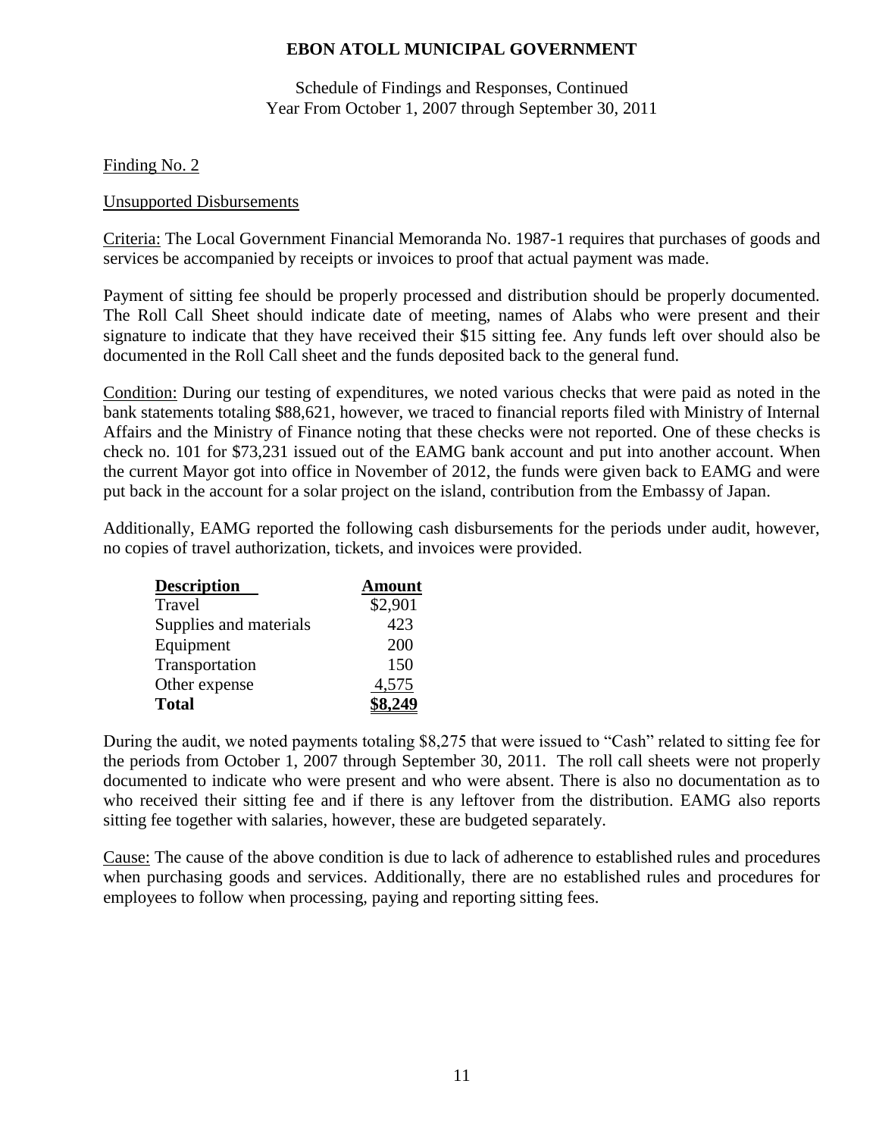Schedule of Findings and Responses, Continued Year From October 1, 2007 through September 30, 2011

### Finding No. 2

#### Unsupported Disbursements

Criteria: The Local Government Financial Memoranda No. 1987-1 requires that purchases of goods and services be accompanied by receipts or invoices to proof that actual payment was made.

Payment of sitting fee should be properly processed and distribution should be properly documented. The Roll Call Sheet should indicate date of meeting, names of Alabs who were present and their signature to indicate that they have received their \$15 sitting fee. Any funds left over should also be documented in the Roll Call sheet and the funds deposited back to the general fund.

Condition: During our testing of expenditures, we noted various checks that were paid as noted in the bank statements totaling \$88,621, however, we traced to financial reports filed with Ministry of Internal Affairs and the Ministry of Finance noting that these checks were not reported. One of these checks is check no. 101 for \$73,231 issued out of the EAMG bank account and put into another account. When the current Mayor got into office in November of 2012, the funds were given back to EAMG and were put back in the account for a solar project on the island, contribution from the Embassy of Japan.

Additionally, EAMG reported the following cash disbursements for the periods under audit, however, no copies of travel authorization, tickets, and invoices were provided.

| <b>Description</b>     | <b>Amount</b> |
|------------------------|---------------|
| Travel                 | \$2,901       |
| Supplies and materials | 423           |
| Equipment              | 200           |
| Transportation         | 150           |
| Other expense          | 4,575         |
| <b>Total</b>           |               |

During the audit, we noted payments totaling \$8,275 that were issued to "Cash" related to sitting fee for the periods from October 1, 2007 through September 30, 2011. The roll call sheets were not properly documented to indicate who were present and who were absent. There is also no documentation as to who received their sitting fee and if there is any leftover from the distribution. EAMG also reports sitting fee together with salaries, however, these are budgeted separately.

Cause: The cause of the above condition is due to lack of adherence to established rules and procedures when purchasing goods and services. Additionally, there are no established rules and procedures for employees to follow when processing, paying and reporting sitting fees.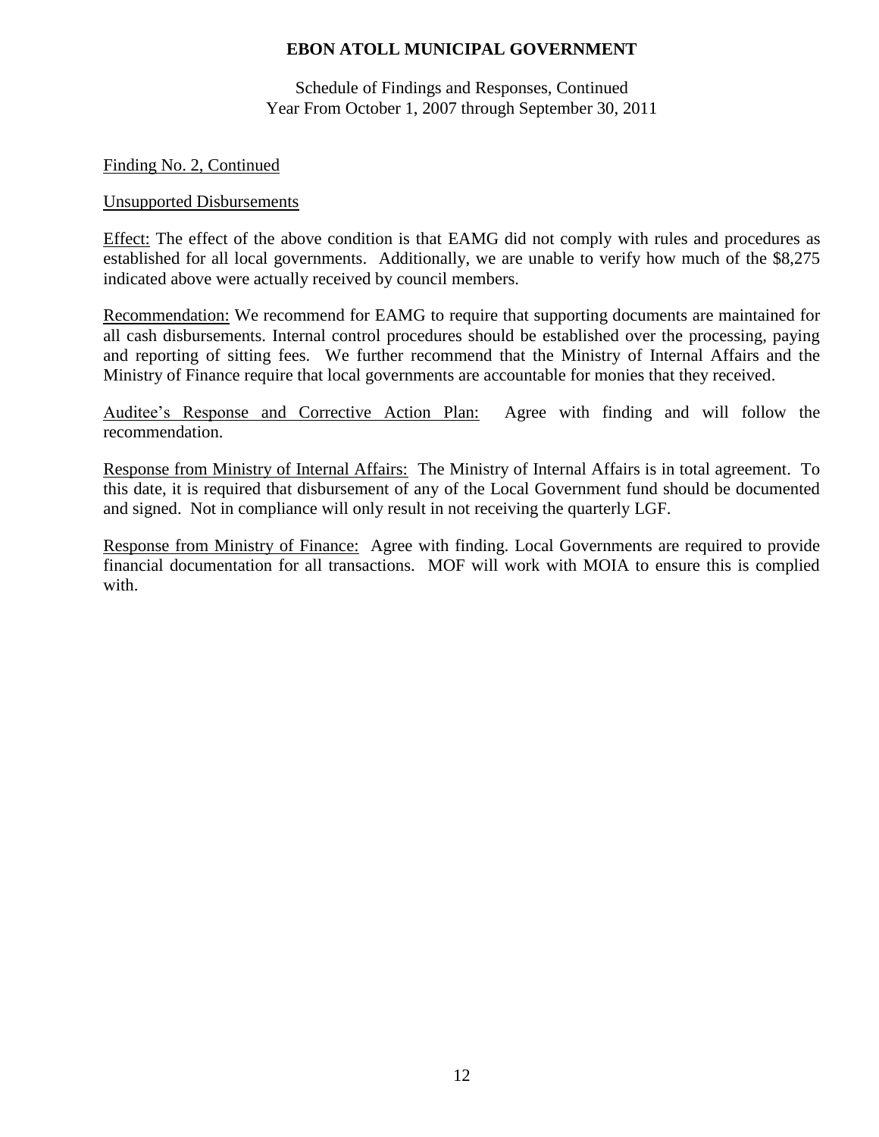Schedule of Findings and Responses, Continued Year From October 1, 2007 through September 30, 2011

#### Finding No. 2, Continued

#### Unsupported Disbursements

Effect: The effect of the above condition is that EAMG did not comply with rules and procedures as established for all local governments. Additionally, we are unable to verify how much of the \$8,275 indicated above were actually received by council members.

Recommendation: We recommend for EAMG to require that supporting documents are maintained for all cash disbursements. Internal control procedures should be established over the processing, paying and reporting of sitting fees. We further recommend that the Ministry of Internal Affairs and the Ministry of Finance require that local governments are accountable for monies that they received.

Auditee's Response and Corrective Action Plan: Agree with finding and will follow the recommendation.

Response from Ministry of Internal Affairs: The Ministry of Internal Affairs is in total agreement. To this date, it is required that disbursement of any of the Local Government fund should be documented and signed. Not in compliance will only result in not receiving the quarterly LGF.

Response from Ministry of Finance: Agree with finding. Local Governments are required to provide financial documentation for all transactions. MOF will work with MOIA to ensure this is complied with.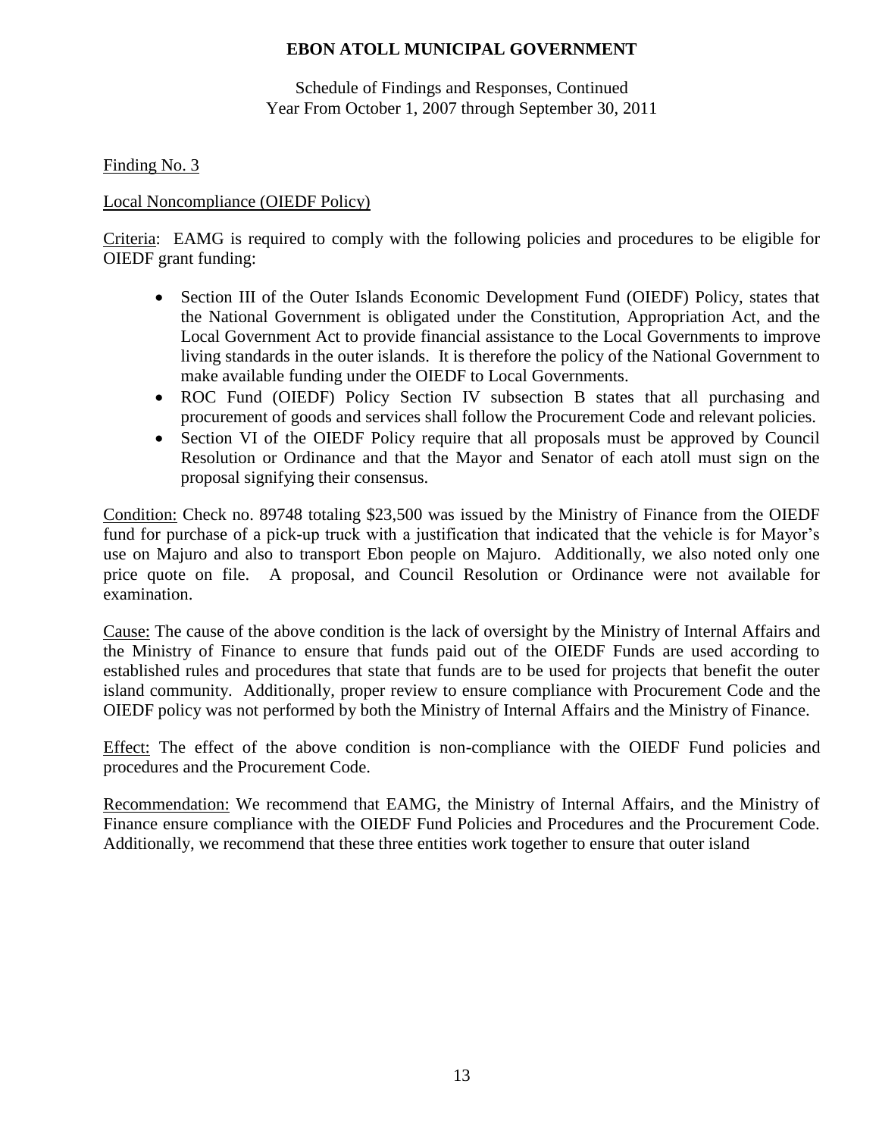Schedule of Findings and Responses, Continued Year From October 1, 2007 through September 30, 2011

Finding No. 3

## Local Noncompliance (OIEDF Policy)

Criteria: EAMG is required to comply with the following policies and procedures to be eligible for OIEDF grant funding:

- Section III of the Outer Islands Economic Development Fund (OIEDF) Policy, states that the National Government is obligated under the Constitution, Appropriation Act, and the Local Government Act to provide financial assistance to the Local Governments to improve living standards in the outer islands. It is therefore the policy of the National Government to make available funding under the OIEDF to Local Governments.
- ROC Fund (OIEDF) Policy Section IV subsection B states that all purchasing and procurement of goods and services shall follow the Procurement Code and relevant policies.
- Section VI of the OIEDF Policy require that all proposals must be approved by Council Resolution or Ordinance and that the Mayor and Senator of each atoll must sign on the proposal signifying their consensus.

Condition: Check no. 89748 totaling \$23,500 was issued by the Ministry of Finance from the OIEDF fund for purchase of a pick-up truck with a justification that indicated that the vehicle is for Mayor's use on Majuro and also to transport Ebon people on Majuro. Additionally, we also noted only one price quote on file. A proposal, and Council Resolution or Ordinance were not available for examination.

Cause: The cause of the above condition is the lack of oversight by the Ministry of Internal Affairs and the Ministry of Finance to ensure that funds paid out of the OIEDF Funds are used according to established rules and procedures that state that funds are to be used for projects that benefit the outer island community. Additionally, proper review to ensure compliance with Procurement Code and the OIEDF policy was not performed by both the Ministry of Internal Affairs and the Ministry of Finance.

Effect: The effect of the above condition is non-compliance with the OIEDF Fund policies and procedures and the Procurement Code.

Recommendation: We recommend that EAMG, the Ministry of Internal Affairs, and the Ministry of Finance ensure compliance with the OIEDF Fund Policies and Procedures and the Procurement Code. Additionally, we recommend that these three entities work together to ensure that outer island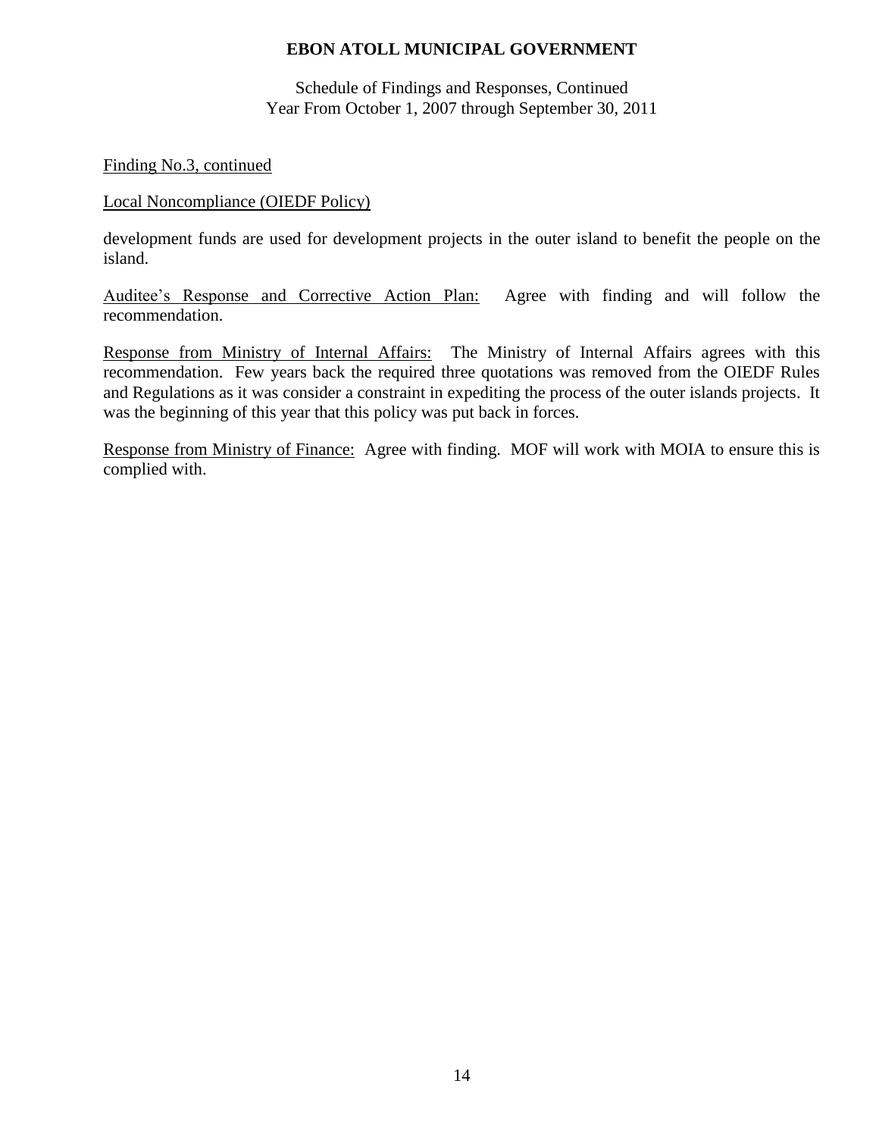Schedule of Findings and Responses, Continued Year From October 1, 2007 through September 30, 2011

### Finding No.3, continued

### Local Noncompliance (OIEDF Policy)

development funds are used for development projects in the outer island to benefit the people on the island.

Auditee's Response and Corrective Action Plan: Agree with finding and will follow the recommendation.

Response from Ministry of Internal Affairs: The Ministry of Internal Affairs agrees with this recommendation. Few years back the required three quotations was removed from the OIEDF Rules and Regulations as it was consider a constraint in expediting the process of the outer islands projects. It was the beginning of this year that this policy was put back in forces.

Response from Ministry of Finance: Agree with finding. MOF will work with MOIA to ensure this is complied with.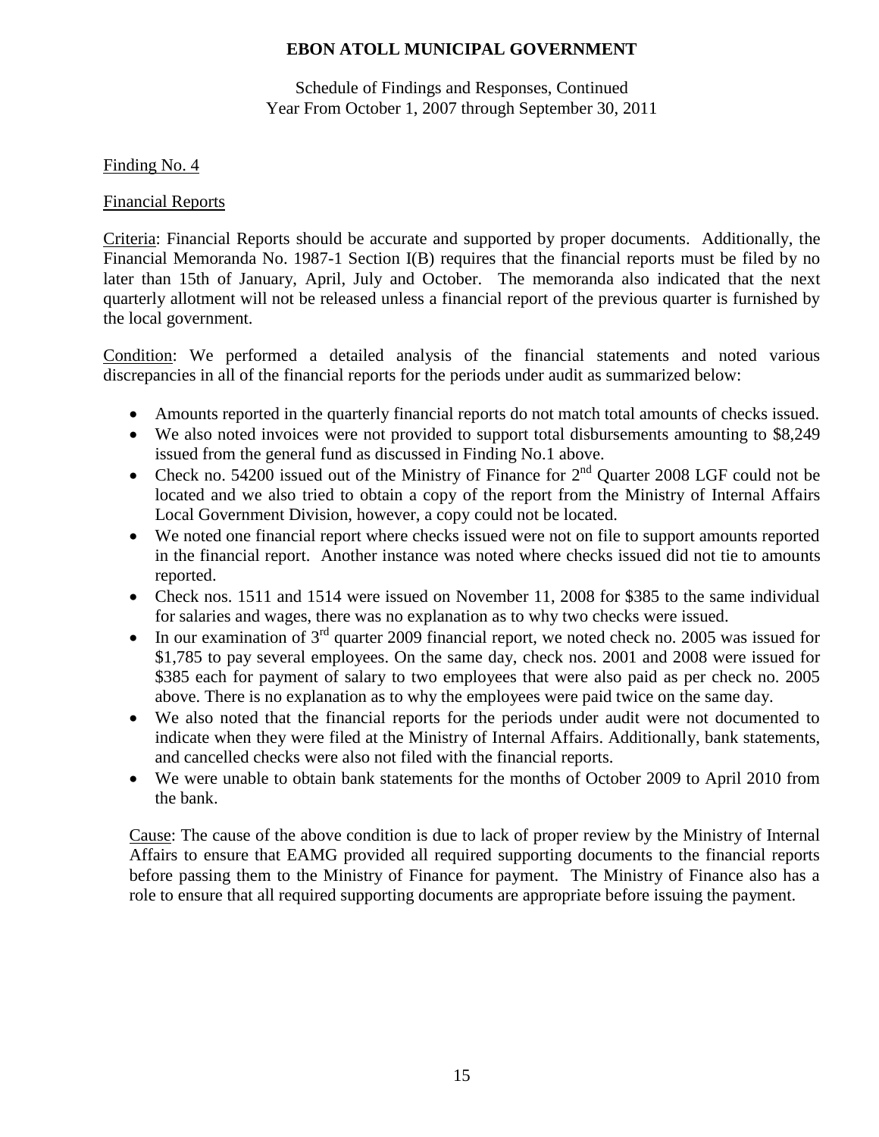Schedule of Findings and Responses, Continued Year From October 1, 2007 through September 30, 2011

### Finding No. 4

### Financial Reports

Criteria: Financial Reports should be accurate and supported by proper documents. Additionally, the Financial Memoranda No. 1987-1 Section I(B) requires that the financial reports must be filed by no later than 15th of January, April, July and October. The memoranda also indicated that the next quarterly allotment will not be released unless a financial report of the previous quarter is furnished by the local government.

Condition: We performed a detailed analysis of the financial statements and noted various discrepancies in all of the financial reports for the periods under audit as summarized below:

- Amounts reported in the quarterly financial reports do not match total amounts of checks issued.
- We also noted invoices were not provided to support total disbursements amounting to \$8,249 issued from the general fund as discussed in Finding No.1 above.
- Check no. 54200 issued out of the Ministry of Finance for  $2<sup>nd</sup>$  Quarter 2008 LGF could not be located and we also tried to obtain a copy of the report from the Ministry of Internal Affairs Local Government Division, however, a copy could not be located.
- We noted one financial report where checks issued were not on file to support amounts reported in the financial report. Another instance was noted where checks issued did not tie to amounts reported.
- Check nos. 1511 and 1514 were issued on November 11, 2008 for \$385 to the same individual for salaries and wages, there was no explanation as to why two checks were issued.
- In our examination of  $3<sup>rd</sup>$  quarter 2009 financial report, we noted check no. 2005 was issued for \$1,785 to pay several employees. On the same day, check nos. 2001 and 2008 were issued for \$385 each for payment of salary to two employees that were also paid as per check no. 2005 above. There is no explanation as to why the employees were paid twice on the same day.
- We also noted that the financial reports for the periods under audit were not documented to indicate when they were filed at the Ministry of Internal Affairs. Additionally, bank statements, and cancelled checks were also not filed with the financial reports.
- We were unable to obtain bank statements for the months of October 2009 to April 2010 from the bank.

Cause: The cause of the above condition is due to lack of proper review by the Ministry of Internal Affairs to ensure that EAMG provided all required supporting documents to the financial reports before passing them to the Ministry of Finance for payment. The Ministry of Finance also has a role to ensure that all required supporting documents are appropriate before issuing the payment.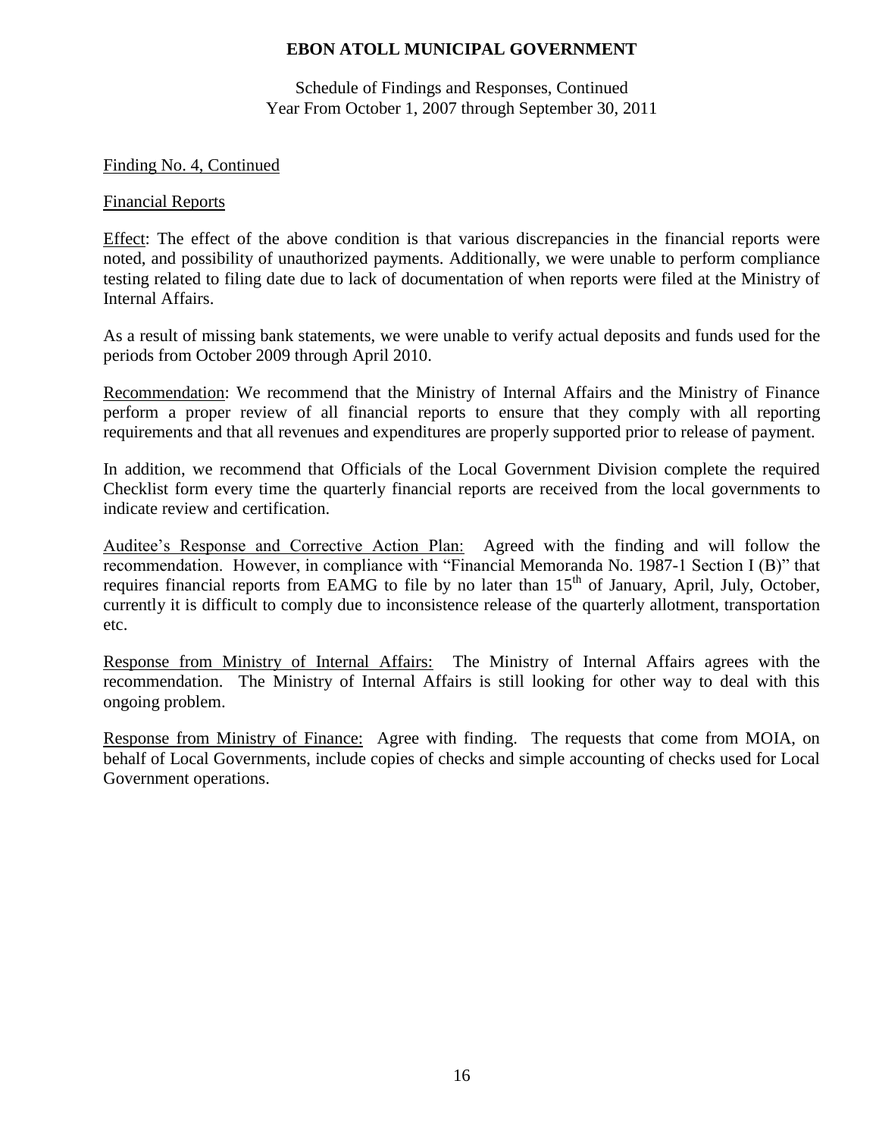Schedule of Findings and Responses, Continued Year From October 1, 2007 through September 30, 2011

#### Finding No. 4, Continued

#### Financial Reports

Effect: The effect of the above condition is that various discrepancies in the financial reports were noted, and possibility of unauthorized payments. Additionally, we were unable to perform compliance testing related to filing date due to lack of documentation of when reports were filed at the Ministry of Internal Affairs.

As a result of missing bank statements, we were unable to verify actual deposits and funds used for the periods from October 2009 through April 2010.

Recommendation: We recommend that the Ministry of Internal Affairs and the Ministry of Finance perform a proper review of all financial reports to ensure that they comply with all reporting requirements and that all revenues and expenditures are properly supported prior to release of payment.

In addition, we recommend that Officials of the Local Government Division complete the required Checklist form every time the quarterly financial reports are received from the local governments to indicate review and certification.

Auditee's Response and Corrective Action Plan: Agreed with the finding and will follow the recommendation. However, in compliance with "Financial Memoranda No. 1987-1 Section I (B)" that requires financial reports from EAMG to file by no later than 15<sup>th</sup> of January, April, July, October, currently it is difficult to comply due to inconsistence release of the quarterly allotment, transportation etc.

Response from Ministry of Internal Affairs: The Ministry of Internal Affairs agrees with the recommendation. The Ministry of Internal Affairs is still looking for other way to deal with this ongoing problem.

Response from Ministry of Finance: Agree with finding. The requests that come from MOIA, on behalf of Local Governments, include copies of checks and simple accounting of checks used for Local Government operations.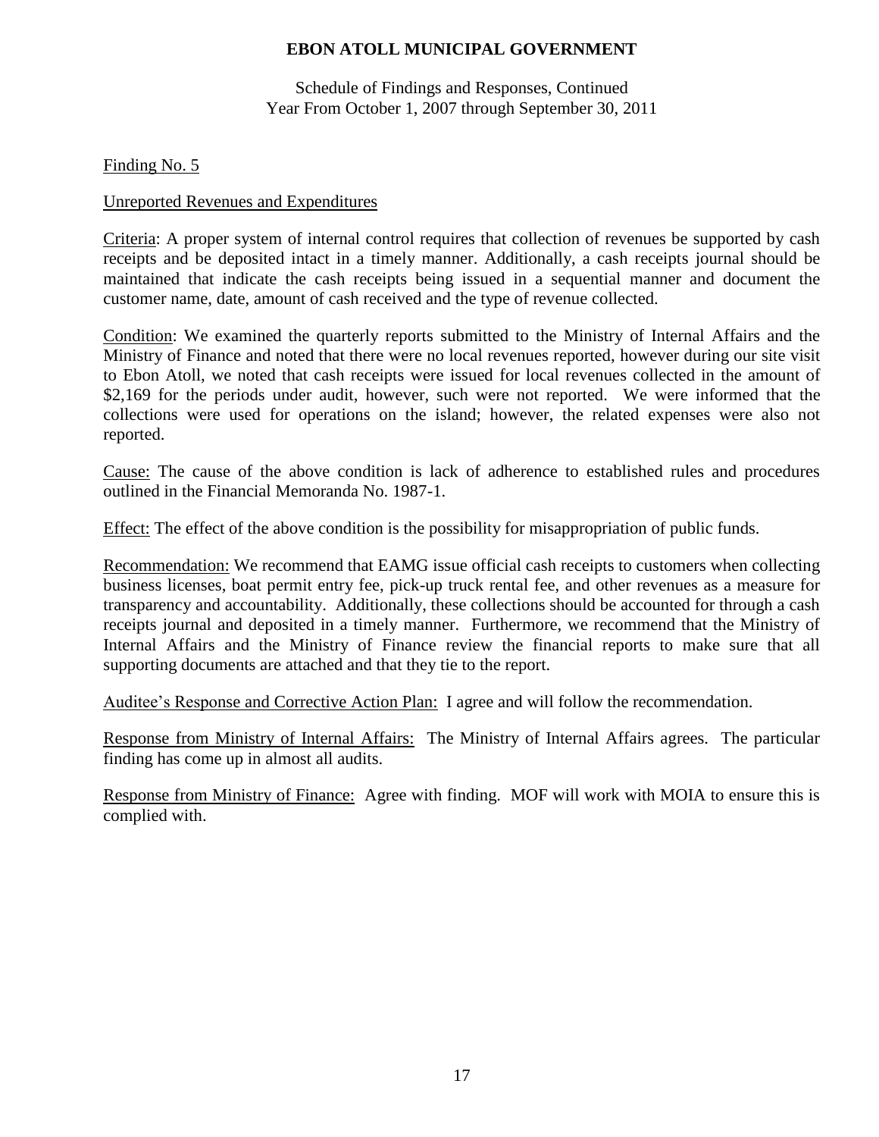Schedule of Findings and Responses, Continued Year From October 1, 2007 through September 30, 2011

Finding No. 5

#### Unreported Revenues and Expenditures

Criteria: A proper system of internal control requires that collection of revenues be supported by cash receipts and be deposited intact in a timely manner. Additionally, a cash receipts journal should be maintained that indicate the cash receipts being issued in a sequential manner and document the customer name, date, amount of cash received and the type of revenue collected.

Condition: We examined the quarterly reports submitted to the Ministry of Internal Affairs and the Ministry of Finance and noted that there were no local revenues reported, however during our site visit to Ebon Atoll, we noted that cash receipts were issued for local revenues collected in the amount of \$2,169 for the periods under audit, however, such were not reported. We were informed that the collections were used for operations on the island; however, the related expenses were also not reported.

Cause: The cause of the above condition is lack of adherence to established rules and procedures outlined in the Financial Memoranda No. 1987-1.

Effect: The effect of the above condition is the possibility for misappropriation of public funds.

Recommendation: We recommend that EAMG issue official cash receipts to customers when collecting business licenses, boat permit entry fee, pick-up truck rental fee, and other revenues as a measure for transparency and accountability. Additionally, these collections should be accounted for through a cash receipts journal and deposited in a timely manner. Furthermore, we recommend that the Ministry of Internal Affairs and the Ministry of Finance review the financial reports to make sure that all supporting documents are attached and that they tie to the report.

Auditee's Response and Corrective Action Plan: I agree and will follow the recommendation.

Response from Ministry of Internal Affairs: The Ministry of Internal Affairs agrees. The particular finding has come up in almost all audits.

Response from Ministry of Finance: Agree with finding. MOF will work with MOIA to ensure this is complied with.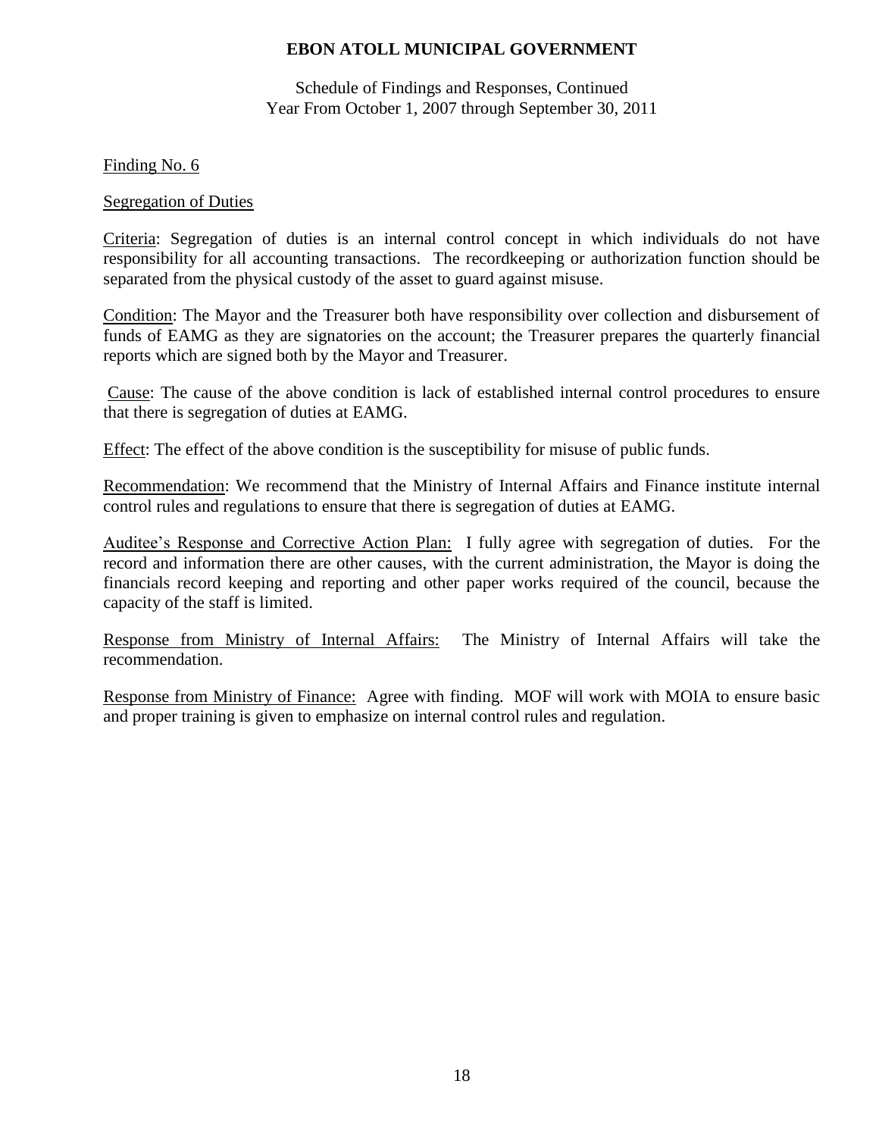Schedule of Findings and Responses, Continued Year From October 1, 2007 through September 30, 2011

Finding No. 6

#### Segregation of Duties

Criteria: Segregation of duties is an internal control concept in which individuals do not have responsibility for all accounting transactions. The recordkeeping or authorization function should be separated from the physical custody of the asset to guard against misuse.

Condition: The Mayor and the Treasurer both have responsibility over collection and disbursement of funds of EAMG as they are signatories on the account; the Treasurer prepares the quarterly financial reports which are signed both by the Mayor and Treasurer.

Cause: The cause of the above condition is lack of established internal control procedures to ensure that there is segregation of duties at EAMG.

Effect: The effect of the above condition is the susceptibility for misuse of public funds.

Recommendation: We recommend that the Ministry of Internal Affairs and Finance institute internal control rules and regulations to ensure that there is segregation of duties at EAMG.

Auditee's Response and Corrective Action Plan: I fully agree with segregation of duties. For the record and information there are other causes, with the current administration, the Mayor is doing the financials record keeping and reporting and other paper works required of the council, because the capacity of the staff is limited.

Response from Ministry of Internal Affairs: The Ministry of Internal Affairs will take the recommendation.

Response from Ministry of Finance: Agree with finding. MOF will work with MOIA to ensure basic and proper training is given to emphasize on internal control rules and regulation.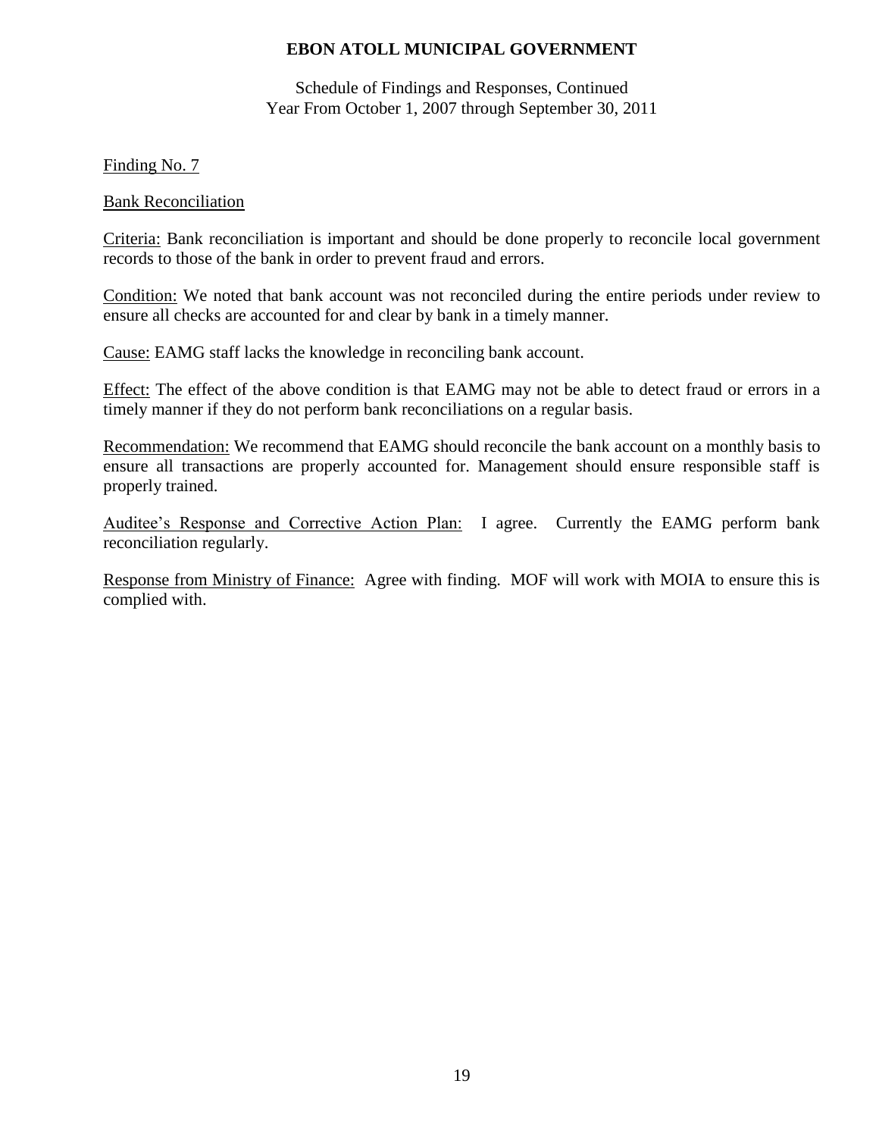Schedule of Findings and Responses, Continued Year From October 1, 2007 through September 30, 2011

Finding No. 7

#### Bank Reconciliation

Criteria: Bank reconciliation is important and should be done properly to reconcile local government records to those of the bank in order to prevent fraud and errors.

Condition: We noted that bank account was not reconciled during the entire periods under review to ensure all checks are accounted for and clear by bank in a timely manner.

Cause: EAMG staff lacks the knowledge in reconciling bank account.

Effect: The effect of the above condition is that EAMG may not be able to detect fraud or errors in a timely manner if they do not perform bank reconciliations on a regular basis.

Recommendation: We recommend that EAMG should reconcile the bank account on a monthly basis to ensure all transactions are properly accounted for. Management should ensure responsible staff is properly trained.

Auditee's Response and Corrective Action Plan: I agree. Currently the EAMG perform bank reconciliation regularly.

Response from Ministry of Finance: Agree with finding. MOF will work with MOIA to ensure this is complied with.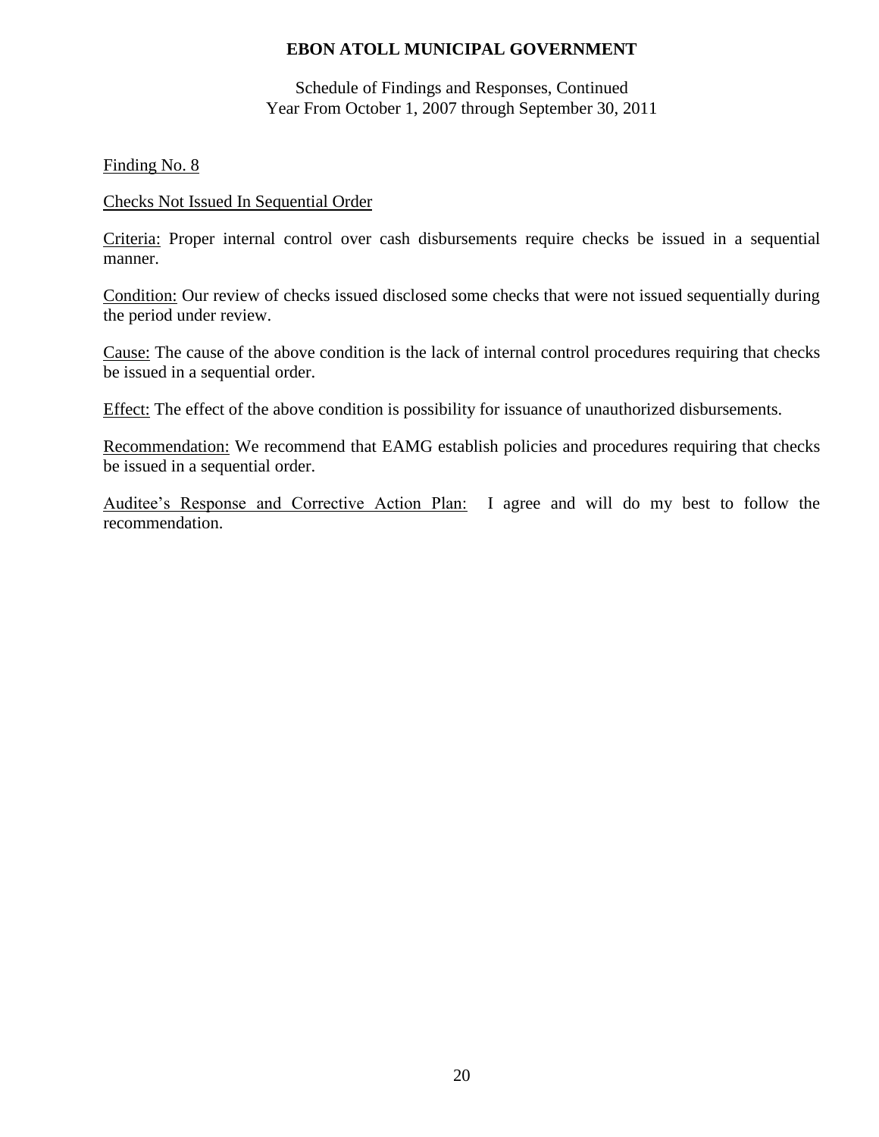Schedule of Findings and Responses, Continued Year From October 1, 2007 through September 30, 2011

Finding No. 8

#### Checks Not Issued In Sequential Order

Criteria: Proper internal control over cash disbursements require checks be issued in a sequential manner.

Condition: Our review of checks issued disclosed some checks that were not issued sequentially during the period under review.

Cause: The cause of the above condition is the lack of internal control procedures requiring that checks be issued in a sequential order.

Effect: The effect of the above condition is possibility for issuance of unauthorized disbursements.

Recommendation: We recommend that EAMG establish policies and procedures requiring that checks be issued in a sequential order.

Auditee's Response and Corrective Action Plan: I agree and will do my best to follow the recommendation.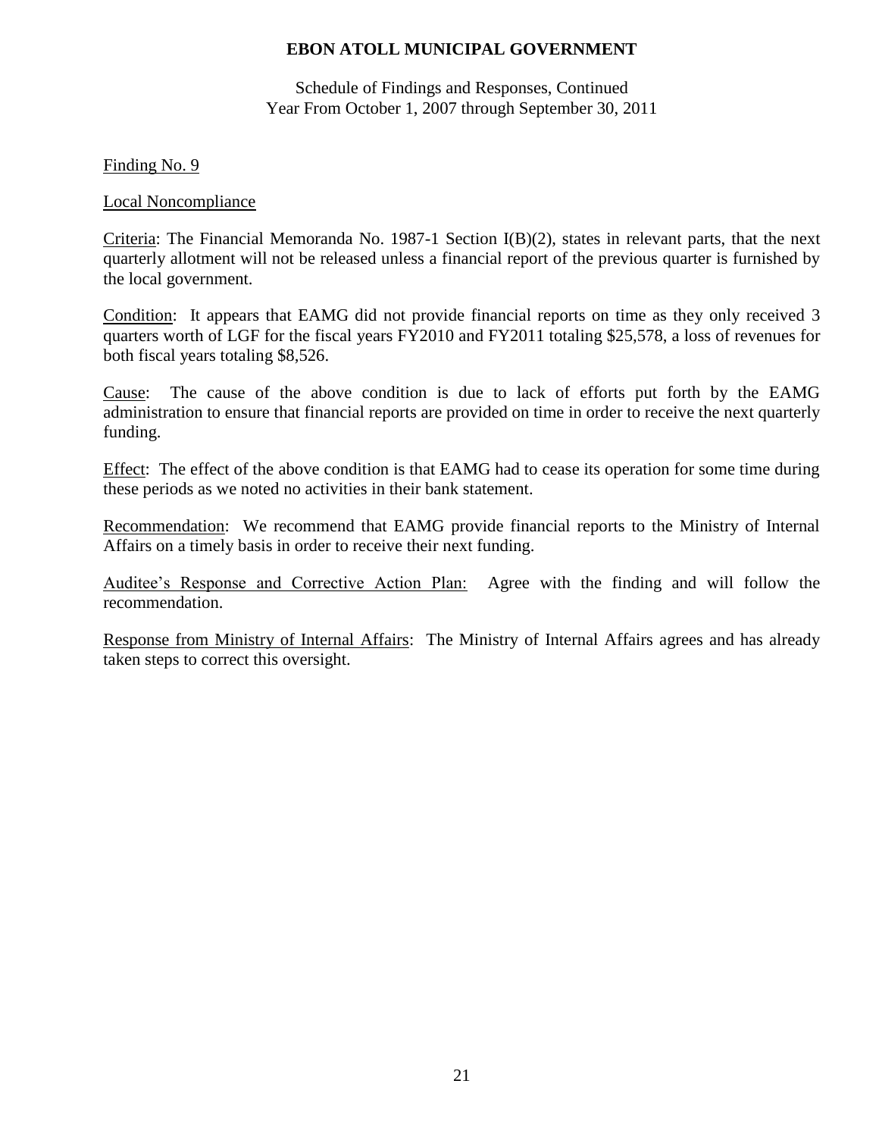Schedule of Findings and Responses, Continued Year From October 1, 2007 through September 30, 2011

#### Finding No. 9

#### Local Noncompliance

Criteria: The Financial Memoranda No. 1987-1 Section I(B)(2), states in relevant parts, that the next quarterly allotment will not be released unless a financial report of the previous quarter is furnished by the local government.

Condition: It appears that EAMG did not provide financial reports on time as they only received 3 quarters worth of LGF for the fiscal years FY2010 and FY2011 totaling \$25,578, a loss of revenues for both fiscal years totaling \$8,526.

Cause: The cause of the above condition is due to lack of efforts put forth by the EAMG administration to ensure that financial reports are provided on time in order to receive the next quarterly funding.

Effect: The effect of the above condition is that EAMG had to cease its operation for some time during these periods as we noted no activities in their bank statement.

Recommendation: We recommend that EAMG provide financial reports to the Ministry of Internal Affairs on a timely basis in order to receive their next funding.

Auditee's Response and Corrective Action Plan: Agree with the finding and will follow the recommendation.

Response from Ministry of Internal Affairs: The Ministry of Internal Affairs agrees and has already taken steps to correct this oversight.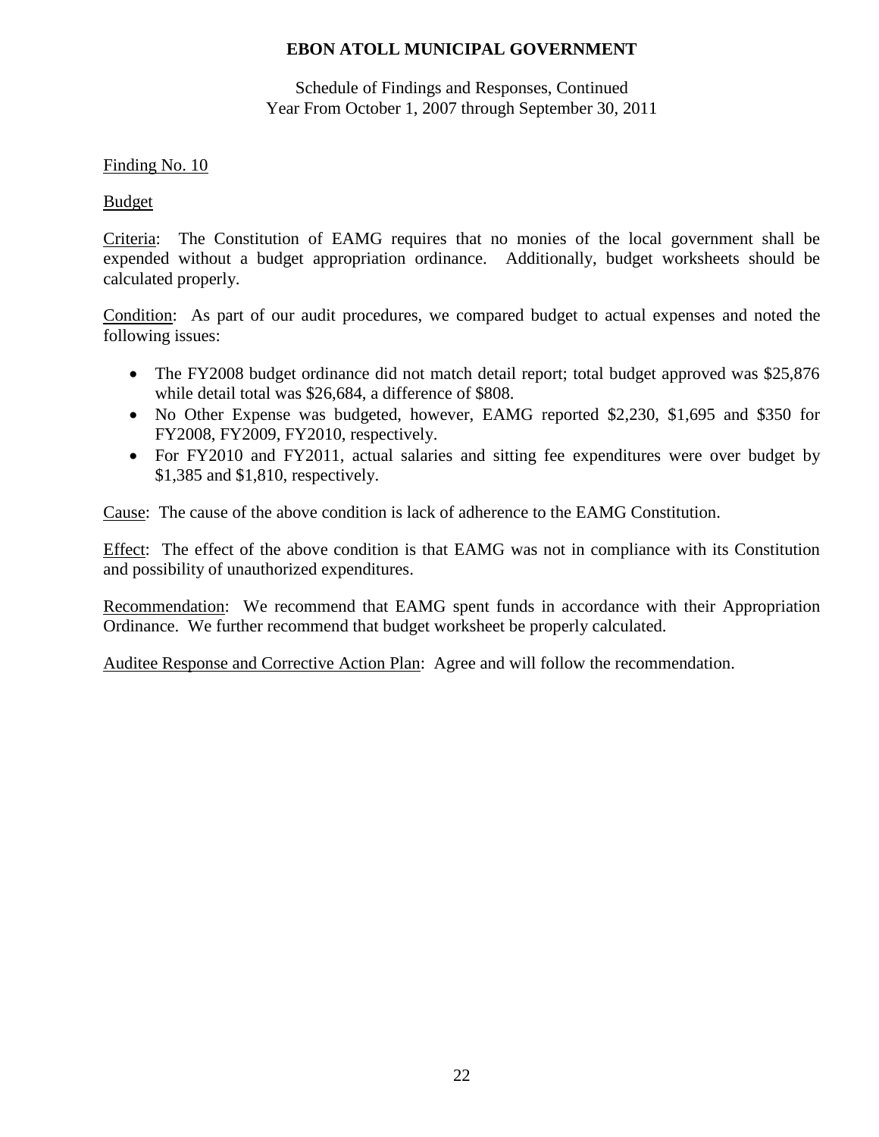Schedule of Findings and Responses, Continued Year From October 1, 2007 through September 30, 2011

### Finding No. 10

### Budget

Criteria: The Constitution of EAMG requires that no monies of the local government shall be expended without a budget appropriation ordinance. Additionally, budget worksheets should be calculated properly.

Condition: As part of our audit procedures, we compared budget to actual expenses and noted the following issues:

- The FY2008 budget ordinance did not match detail report; total budget approved was \$25,876 while detail total was \$26,684, a difference of \$808.
- No Other Expense was budgeted, however, EAMG reported \$2,230, \$1,695 and \$350 for FY2008, FY2009, FY2010, respectively.
- For FY2010 and FY2011, actual salaries and sitting fee expenditures were over budget by \$1,385 and \$1,810, respectively.

Cause: The cause of the above condition is lack of adherence to the EAMG Constitution.

Effect: The effect of the above condition is that EAMG was not in compliance with its Constitution and possibility of unauthorized expenditures.

Recommendation: We recommend that EAMG spent funds in accordance with their Appropriation Ordinance. We further recommend that budget worksheet be properly calculated.

Auditee Response and Corrective Action Plan: Agree and will follow the recommendation.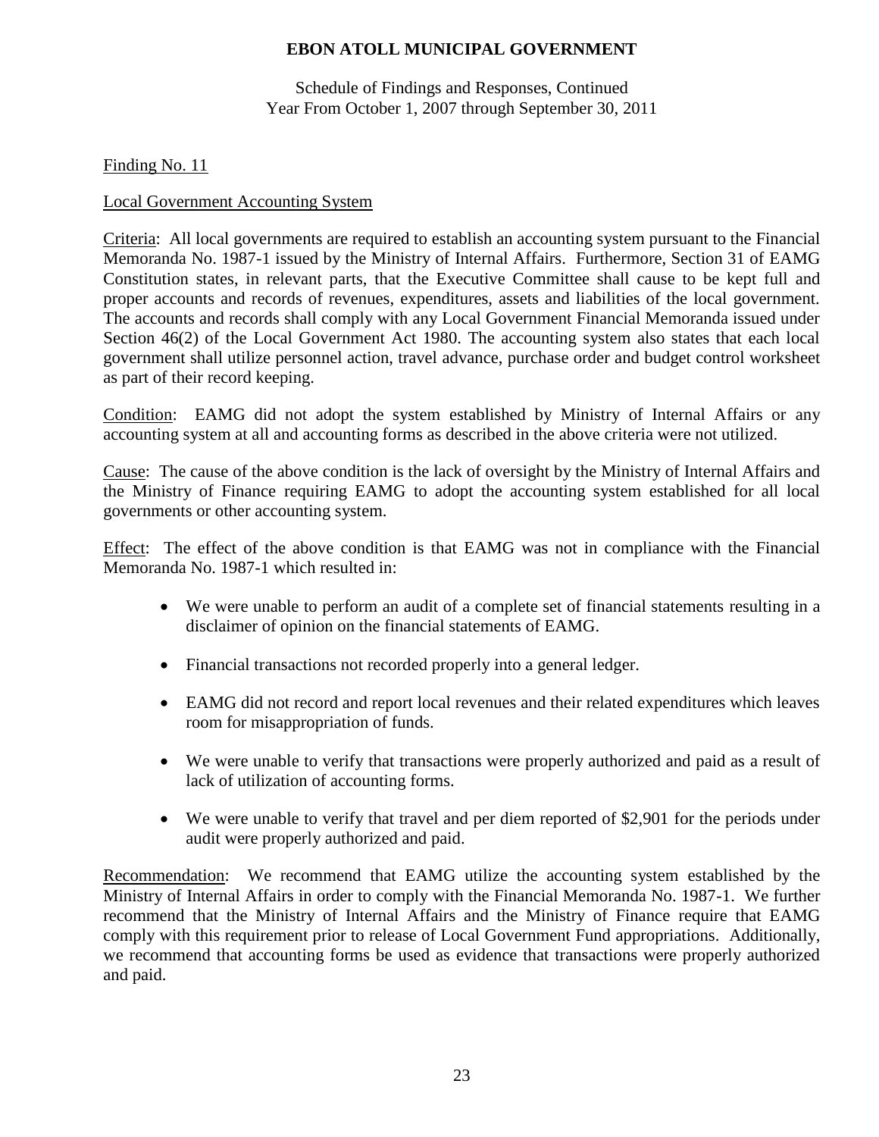Schedule of Findings and Responses, Continued Year From October 1, 2007 through September 30, 2011

Finding No. 11

## Local Government Accounting System

Criteria: All local governments are required to establish an accounting system pursuant to the Financial Memoranda No. 1987-1 issued by the Ministry of Internal Affairs. Furthermore, Section 31 of EAMG Constitution states, in relevant parts, that the Executive Committee shall cause to be kept full and proper accounts and records of revenues, expenditures, assets and liabilities of the local government. The accounts and records shall comply with any Local Government Financial Memoranda issued under Section 46(2) of the Local Government Act 1980. The accounting system also states that each local government shall utilize personnel action, travel advance, purchase order and budget control worksheet as part of their record keeping.

Condition: EAMG did not adopt the system established by Ministry of Internal Affairs or any accounting system at all and accounting forms as described in the above criteria were not utilized.

Cause: The cause of the above condition is the lack of oversight by the Ministry of Internal Affairs and the Ministry of Finance requiring EAMG to adopt the accounting system established for all local governments or other accounting system.

Effect: The effect of the above condition is that EAMG was not in compliance with the Financial Memoranda No. 1987-1 which resulted in:

- We were unable to perform an audit of a complete set of financial statements resulting in a disclaimer of opinion on the financial statements of EAMG.
- Financial transactions not recorded properly into a general ledger.
- EAMG did not record and report local revenues and their related expenditures which leaves room for misappropriation of funds.
- We were unable to verify that transactions were properly authorized and paid as a result of lack of utilization of accounting forms.
- We were unable to verify that travel and per diem reported of \$2,901 for the periods under audit were properly authorized and paid.

Recommendation: We recommend that EAMG utilize the accounting system established by the Ministry of Internal Affairs in order to comply with the Financial Memoranda No. 1987-1. We further recommend that the Ministry of Internal Affairs and the Ministry of Finance require that EAMG comply with this requirement prior to release of Local Government Fund appropriations. Additionally, we recommend that accounting forms be used as evidence that transactions were properly authorized and paid.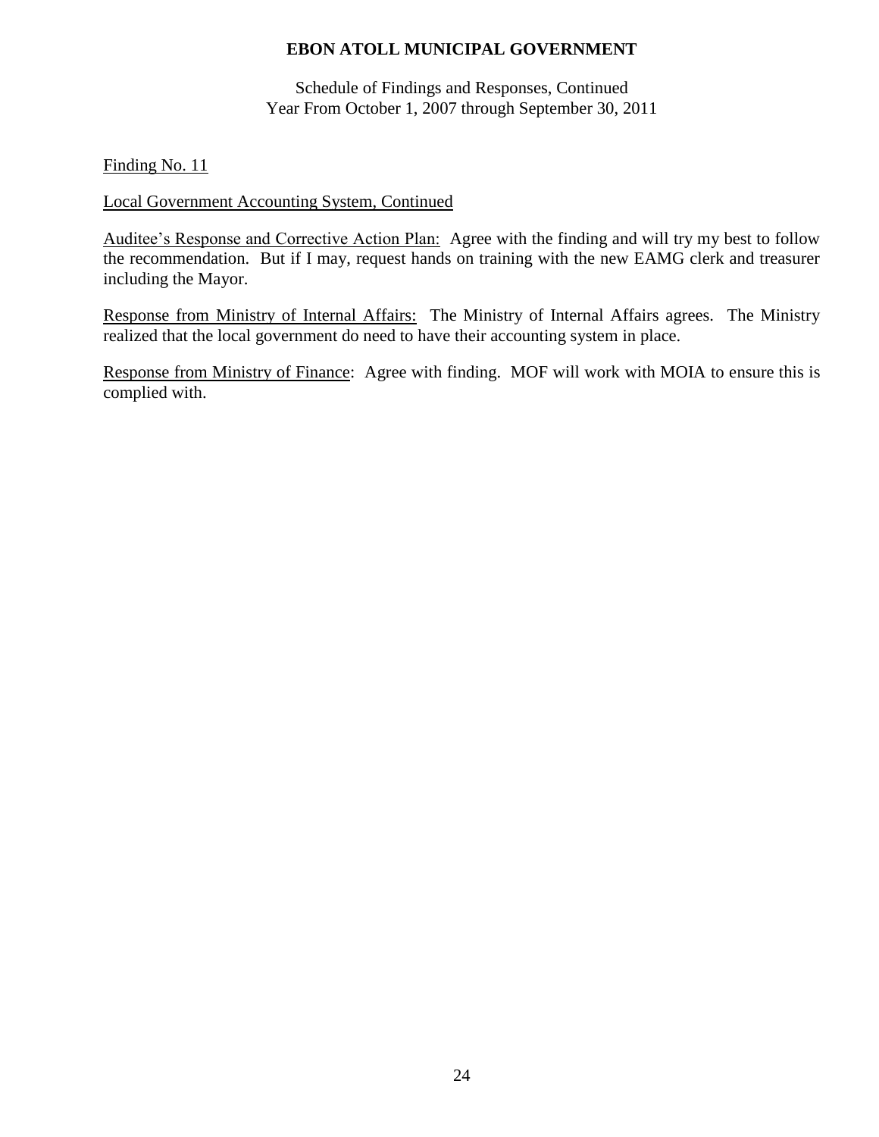Schedule of Findings and Responses, Continued Year From October 1, 2007 through September 30, 2011

Finding No. 11

### Local Government Accounting System, Continued

Auditee's Response and Corrective Action Plan: Agree with the finding and will try my best to follow the recommendation. But if I may, request hands on training with the new EAMG clerk and treasurer including the Mayor.

Response from Ministry of Internal Affairs: The Ministry of Internal Affairs agrees. The Ministry realized that the local government do need to have their accounting system in place.

Response from Ministry of Finance: Agree with finding. MOF will work with MOIA to ensure this is complied with.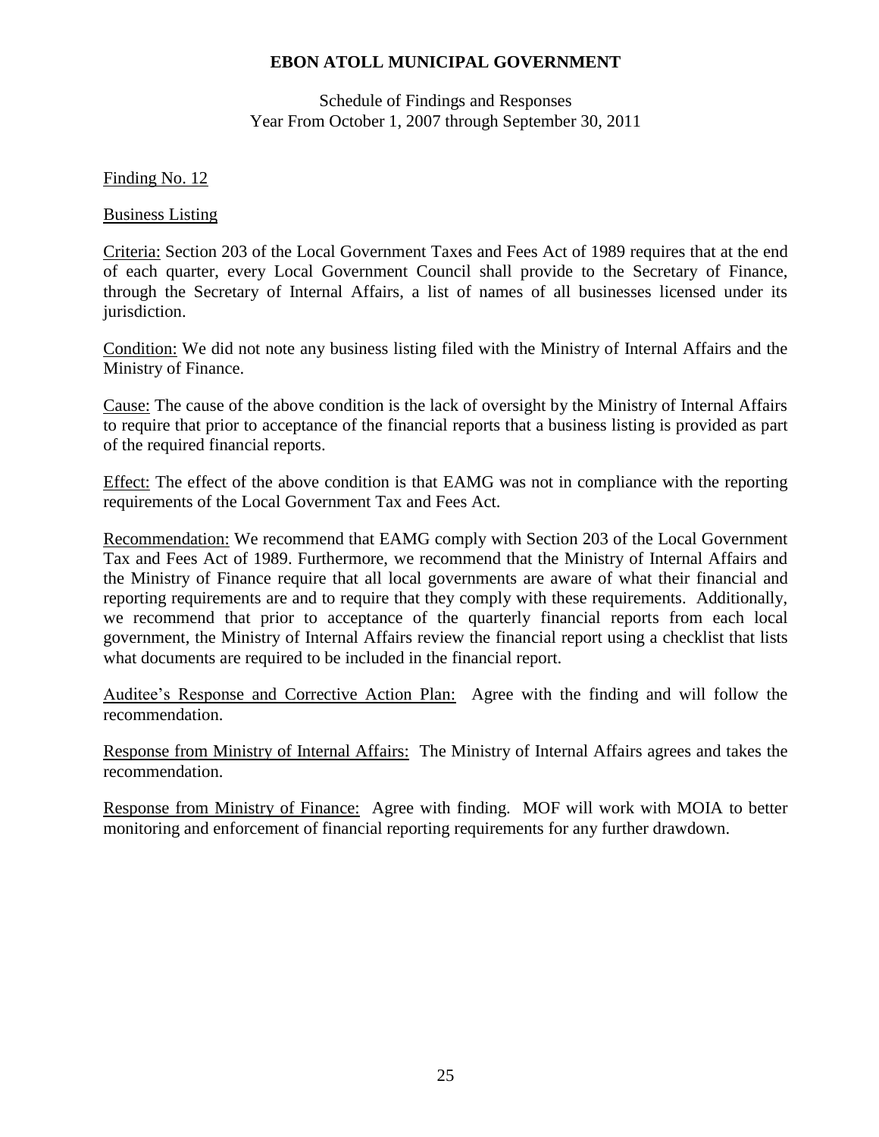Schedule of Findings and Responses Year From October 1, 2007 through September 30, 2011

Finding No. 12

Business Listing

Criteria: Section 203 of the Local Government Taxes and Fees Act of 1989 requires that at the end of each quarter, every Local Government Council shall provide to the Secretary of Finance, through the Secretary of Internal Affairs, a list of names of all businesses licensed under its jurisdiction.

Condition: We did not note any business listing filed with the Ministry of Internal Affairs and the Ministry of Finance.

Cause: The cause of the above condition is the lack of oversight by the Ministry of Internal Affairs to require that prior to acceptance of the financial reports that a business listing is provided as part of the required financial reports.

Effect: The effect of the above condition is that EAMG was not in compliance with the reporting requirements of the Local Government Tax and Fees Act.

Recommendation: We recommend that EAMG comply with Section 203 of the Local Government Tax and Fees Act of 1989. Furthermore, we recommend that the Ministry of Internal Affairs and the Ministry of Finance require that all local governments are aware of what their financial and reporting requirements are and to require that they comply with these requirements. Additionally, we recommend that prior to acceptance of the quarterly financial reports from each local government, the Ministry of Internal Affairs review the financial report using a checklist that lists what documents are required to be included in the financial report.

Auditee's Response and Corrective Action Plan: Agree with the finding and will follow the recommendation.

Response from Ministry of Internal Affairs: The Ministry of Internal Affairs agrees and takes the recommendation.

Response from Ministry of Finance: Agree with finding. MOF will work with MOIA to better monitoring and enforcement of financial reporting requirements for any further drawdown.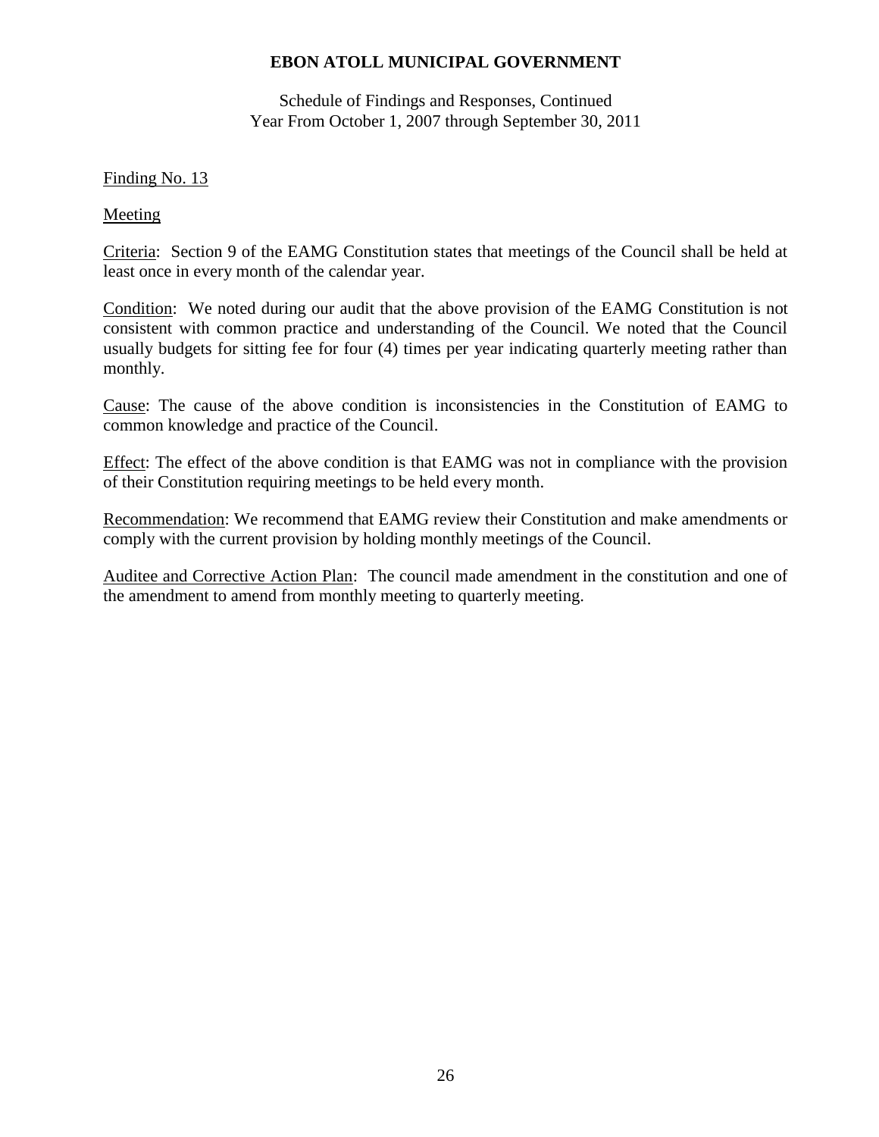Schedule of Findings and Responses, Continued Year From October 1, 2007 through September 30, 2011

## Finding No. 13

Meeting

Criteria: Section 9 of the EAMG Constitution states that meetings of the Council shall be held at least once in every month of the calendar year.

Condition: We noted during our audit that the above provision of the EAMG Constitution is not consistent with common practice and understanding of the Council. We noted that the Council usually budgets for sitting fee for four (4) times per year indicating quarterly meeting rather than monthly.

Cause: The cause of the above condition is inconsistencies in the Constitution of EAMG to common knowledge and practice of the Council.

Effect: The effect of the above condition is that EAMG was not in compliance with the provision of their Constitution requiring meetings to be held every month.

Recommendation: We recommend that EAMG review their Constitution and make amendments or comply with the current provision by holding monthly meetings of the Council.

Auditee and Corrective Action Plan: The council made amendment in the constitution and one of the amendment to amend from monthly meeting to quarterly meeting.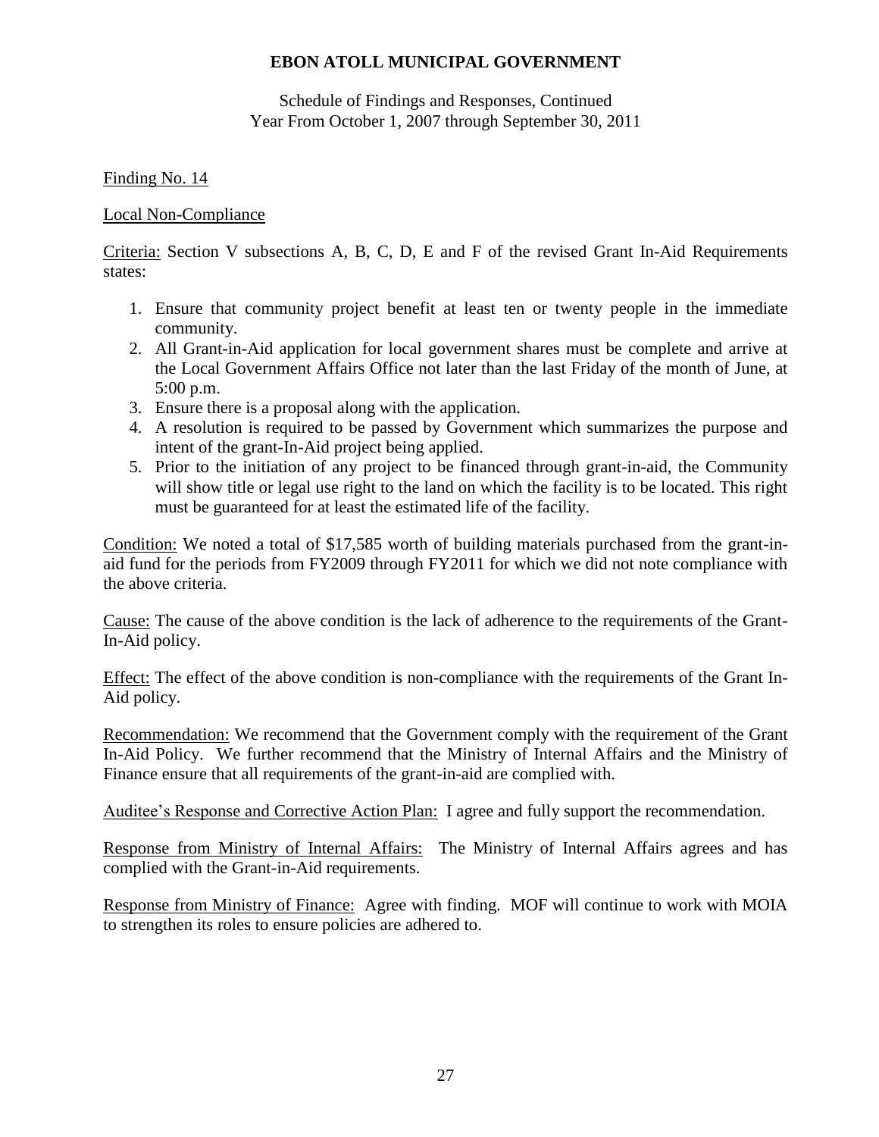Schedule of Findings and Responses, Continued Year From October 1, 2007 through September 30, 2011

## Finding No. 14

### Local Non-Compliance

Criteria: Section V subsections A, B, C, D, E and F of the revised Grant In-Aid Requirements states:

- 1. Ensure that community project benefit at least ten or twenty people in the immediate community.
- 2. All Grant-in-Aid application for local government shares must be complete and arrive at the Local Government Affairs Office not later than the last Friday of the month of June, at 5:00 p.m.
- 3. Ensure there is a proposal along with the application.
- 4. A resolution is required to be passed by Government which summarizes the purpose and intent of the grant-In-Aid project being applied.
- 5. Prior to the initiation of any project to be financed through grant-in-aid, the Community will show title or legal use right to the land on which the facility is to be located. This right must be guaranteed for at least the estimated life of the facility.

Condition: We noted a total of \$17,585 worth of building materials purchased from the grant-inaid fund for the periods from FY2009 through FY2011 for which we did not note compliance with the above criteria.

Cause: The cause of the above condition is the lack of adherence to the requirements of the Grant-In-Aid policy.

Effect: The effect of the above condition is non-compliance with the requirements of the Grant In-Aid policy.

Recommendation: We recommend that the Government comply with the requirement of the Grant In-Aid Policy. We further recommend that the Ministry of Internal Affairs and the Ministry of Finance ensure that all requirements of the grant-in-aid are complied with.

Auditee's Response and Corrective Action Plan: I agree and fully support the recommendation.

Response from Ministry of Internal Affairs: The Ministry of Internal Affairs agrees and has complied with the Grant-in-Aid requirements.

Response from Ministry of Finance: Agree with finding. MOF will continue to work with MOIA to strengthen its roles to ensure policies are adhered to.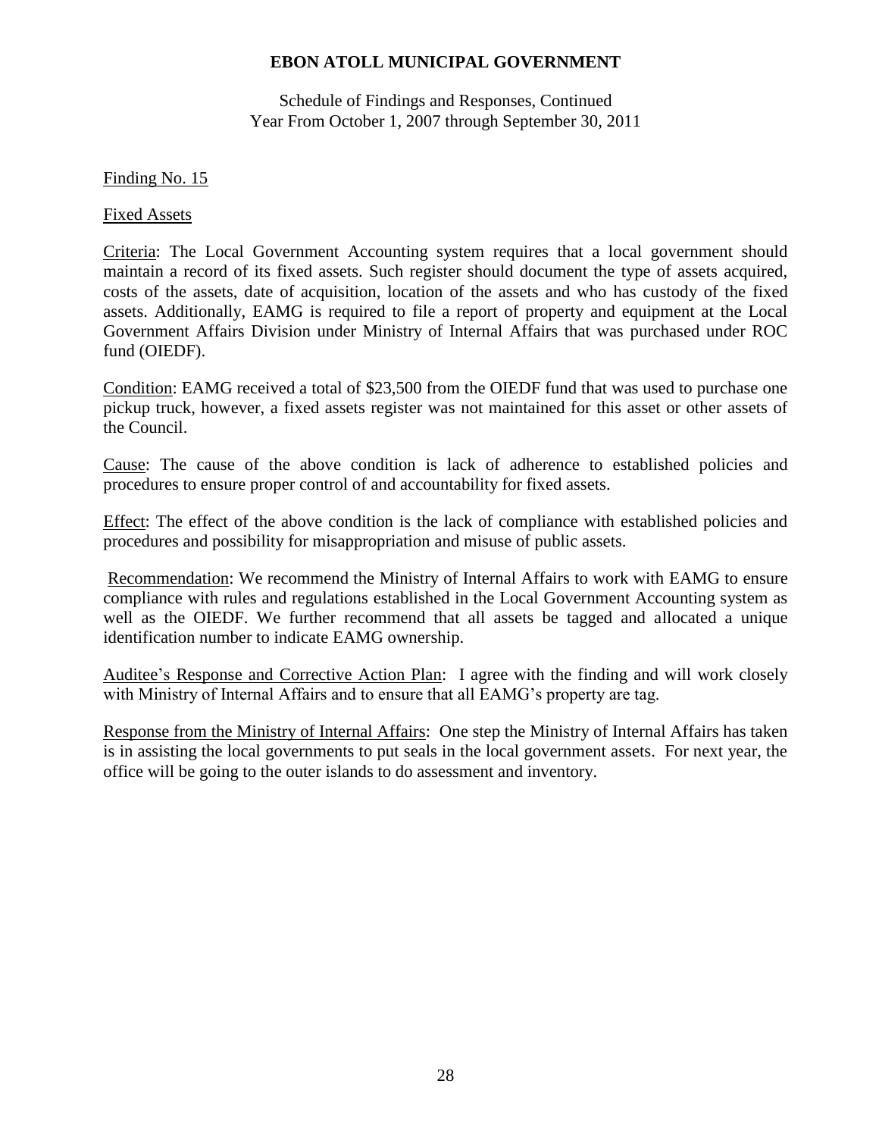Schedule of Findings and Responses, Continued Year From October 1, 2007 through September 30, 2011

### Finding No. 15

Fixed Assets

Criteria: The Local Government Accounting system requires that a local government should maintain a record of its fixed assets. Such register should document the type of assets acquired, costs of the assets, date of acquisition, location of the assets and who has custody of the fixed assets. Additionally, EAMG is required to file a report of property and equipment at the Local Government Affairs Division under Ministry of Internal Affairs that was purchased under ROC fund (OIEDF).

Condition: EAMG received a total of \$23,500 from the OIEDF fund that was used to purchase one pickup truck, however, a fixed assets register was not maintained for this asset or other assets of the Council.

Cause: The cause of the above condition is lack of adherence to established policies and procedures to ensure proper control of and accountability for fixed assets.

Effect: The effect of the above condition is the lack of compliance with established policies and procedures and possibility for misappropriation and misuse of public assets.

Recommendation: We recommend the Ministry of Internal Affairs to work with EAMG to ensure compliance with rules and regulations established in the Local Government Accounting system as well as the OIEDF. We further recommend that all assets be tagged and allocated a unique identification number to indicate EAMG ownership.

Auditee's Response and Corrective Action Plan: I agree with the finding and will work closely with Ministry of Internal Affairs and to ensure that all EAMG's property are tag.

Response from the Ministry of Internal Affairs: One step the Ministry of Internal Affairs has taken is in assisting the local governments to put seals in the local government assets. For next year, the office will be going to the outer islands to do assessment and inventory.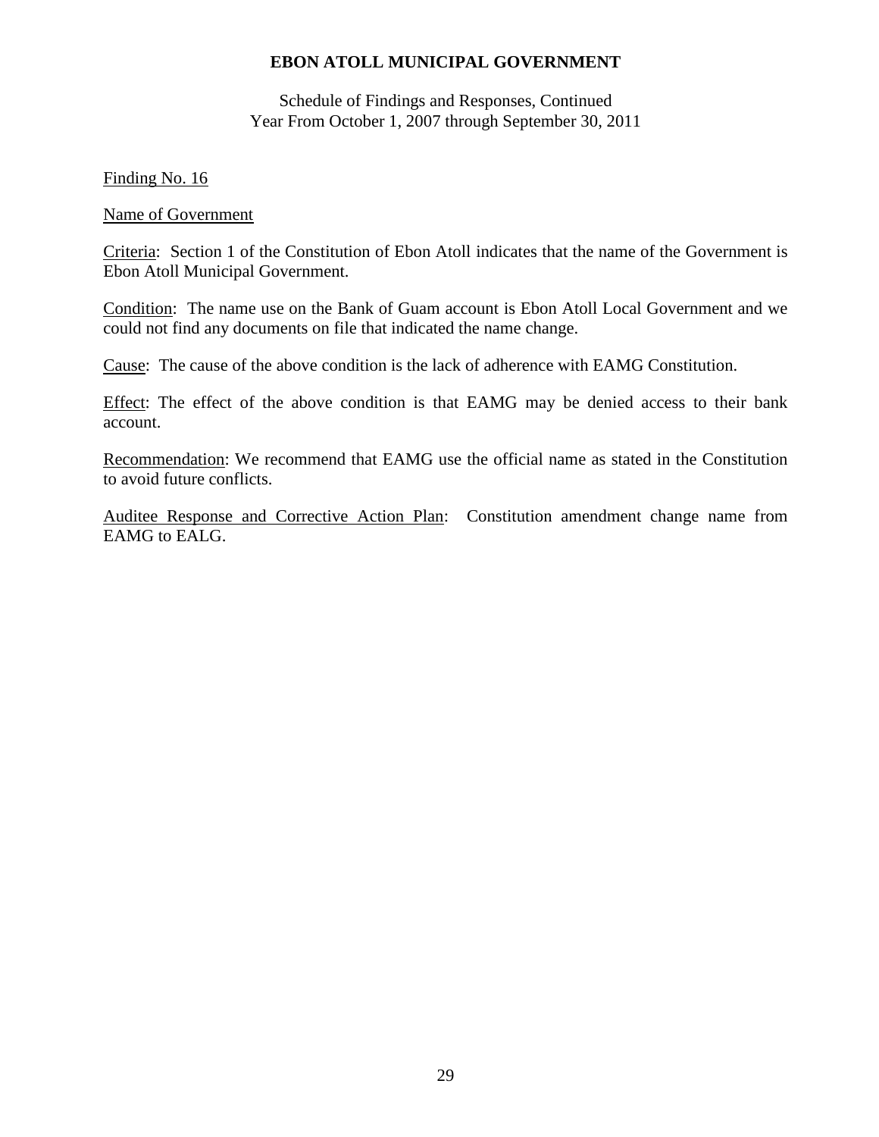Schedule of Findings and Responses, Continued Year From October 1, 2007 through September 30, 2011

#### Finding No. 16

#### Name of Government

Criteria: Section 1 of the Constitution of Ebon Atoll indicates that the name of the Government is Ebon Atoll Municipal Government.

Condition: The name use on the Bank of Guam account is Ebon Atoll Local Government and we could not find any documents on file that indicated the name change.

Cause: The cause of the above condition is the lack of adherence with EAMG Constitution.

Effect: The effect of the above condition is that EAMG may be denied access to their bank account.

Recommendation: We recommend that EAMG use the official name as stated in the Constitution to avoid future conflicts.

Auditee Response and Corrective Action Plan: Constitution amendment change name from EAMG to EALG.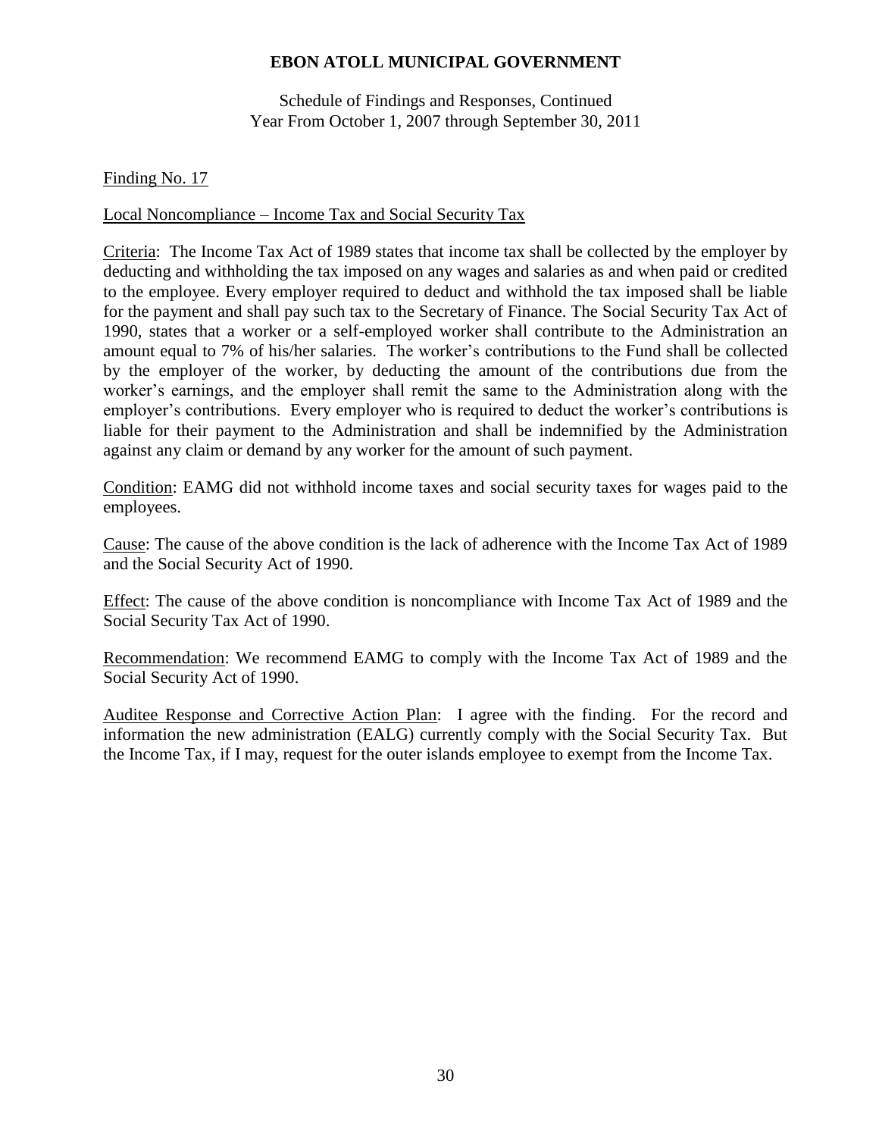Schedule of Findings and Responses, Continued Year From October 1, 2007 through September 30, 2011

### Finding No. 17

### Local Noncompliance – Income Tax and Social Security Tax

Criteria: The Income Tax Act of 1989 states that income tax shall be collected by the employer by deducting and withholding the tax imposed on any wages and salaries as and when paid or credited to the employee. Every employer required to deduct and withhold the tax imposed shall be liable for the payment and shall pay such tax to the Secretary of Finance. The Social Security Tax Act of 1990, states that a worker or a self-employed worker shall contribute to the Administration an amount equal to 7% of his/her salaries. The worker's contributions to the Fund shall be collected by the employer of the worker, by deducting the amount of the contributions due from the worker's earnings, and the employer shall remit the same to the Administration along with the employer's contributions. Every employer who is required to deduct the worker's contributions is liable for their payment to the Administration and shall be indemnified by the Administration against any claim or demand by any worker for the amount of such payment.

Condition: EAMG did not withhold income taxes and social security taxes for wages paid to the employees.

Cause: The cause of the above condition is the lack of adherence with the Income Tax Act of 1989 and the Social Security Act of 1990.

Effect: The cause of the above condition is noncompliance with Income Tax Act of 1989 and the Social Security Tax Act of 1990.

Recommendation: We recommend EAMG to comply with the Income Tax Act of 1989 and the Social Security Act of 1990.

Auditee Response and Corrective Action Plan: I agree with the finding. For the record and information the new administration (EALG) currently comply with the Social Security Tax. But the Income Tax, if I may, request for the outer islands employee to exempt from the Income Tax.